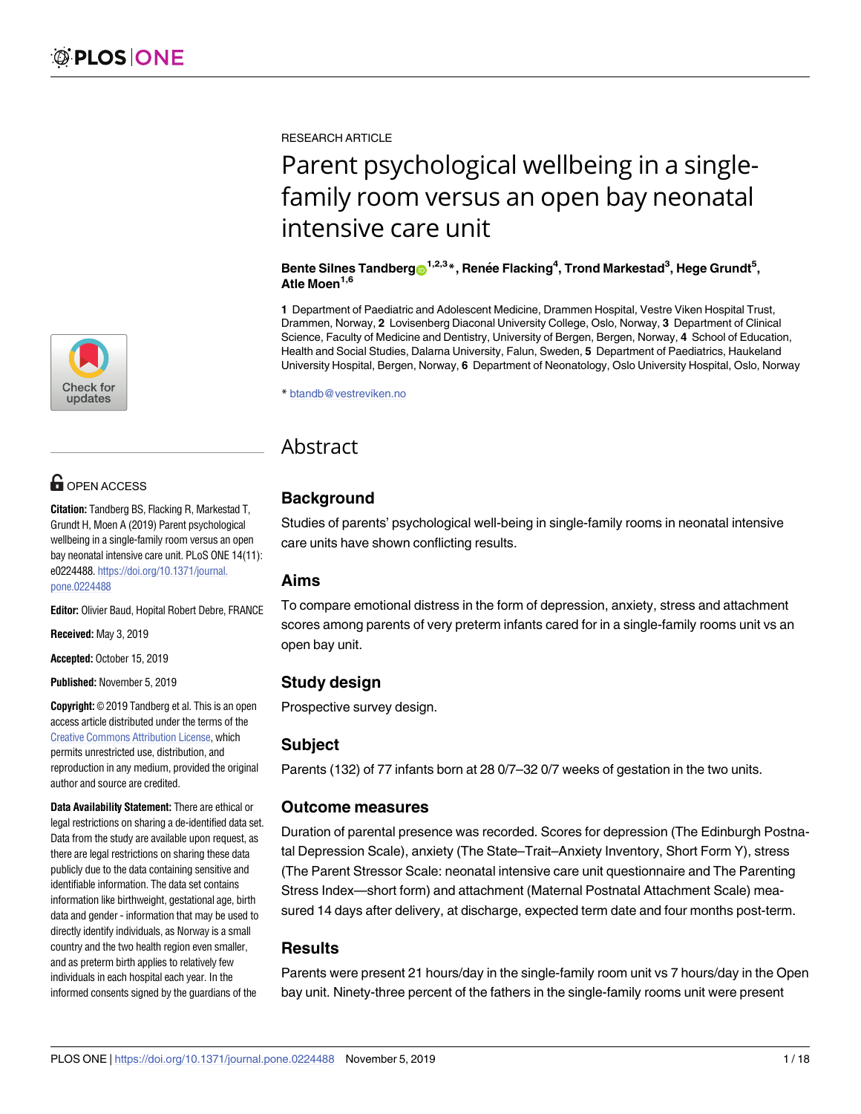

# **OPEN ACCESS**

**Citation:** Tandberg BS, Flacking R, Markestad T, Grundt H, Moen A (2019) Parent psychological wellbeing in a single-family room versus an open bay neonatal intensive care unit. PLoS ONE 14(11): e0224488. [https://doi.org/10.1371/journal.](https://doi.org/10.1371/journal.pone.0224488) [pone.0224488](https://doi.org/10.1371/journal.pone.0224488)

**Editor:** Olivier Baud, Hopital Robert Debre, FRANCE

**Received:** May 3, 2019

**Accepted:** October 15, 2019

**Published:** November 5, 2019

**Copyright:** © 2019 Tandberg et al. This is an open access article distributed under the terms of the Creative Commons [Attribution](http://creativecommons.org/licenses/by/4.0/) License, which permits unrestricted use, distribution, and reproduction in any medium, provided the original author and source are credited.

**Data Availability Statement:** There are ethical or legal restrictions on sharing a de-identified data set. Data from the study are available upon request, as there are legal restrictions on sharing these data publicly due to the data containing sensitive and identifiable information. The data set contains information like birthweight, gestational age, birth data and gender - information that may be used to directly identify individuals, as Norway is a small country and the two health region even smaller, and as preterm birth applies to relatively few individuals in each hospital each year. In the informed consents signed by the guardians of the

RESEARCH ARTICLE

# Parent psychological wellbeing in a singlefamily room versus an open bay neonatal intensive care unit

#### $\bf{Bente~Silnes~Tandberg}$   $\bf{D}^{1,2,3*}$ ,  $\bf{R}$ enée  $\bf{Flacking}^4$ ,  $\bf{Trond~Markestad}^3$ ,  $\bf{Hege~Grundt}^5$ , **Atle Moen1,6**

**1** Department of Paediatric and Adolescent Medicine, Drammen Hospital, Vestre Viken Hospital Trust, Drammen, Norway, **2** Lovisenberg Diaconal University College, Oslo, Norway, **3** Department of Clinical Science, Faculty of Medicine and Dentistry, University of Bergen, Bergen, Norway, **4** School of Education, Health and Social Studies, Dalarna University, Falun, Sweden, **5** Department of Paediatrics, Haukeland University Hospital, Bergen, Norway, **6** Department of Neonatology, Oslo University Hospital, Oslo, Norway

\* btandb@vestreviken.no

# Abstract

## **Background**

Studies of parents' psychological well-being in single-family rooms in neonatal intensive care units have shown conflicting results.

#### **Aims**

To compare emotional distress in the form of depression, anxiety, stress and attachment scores among parents of very preterm infants cared for in a single-family rooms unit vs an open bay unit.

#### **Study design**

Prospective survey design.

#### **Subject**

Parents (132) of 77 infants born at 28 0/7–32 0/7 weeks of gestation in the two units.

#### **Outcome measures**

Duration of parental presence was recorded. Scores for depression (The Edinburgh Postnatal Depression Scale), anxiety (The State–Trait–Anxiety Inventory, Short Form Y), stress (The Parent Stressor Scale: neonatal intensive care unit questionnaire and The Parenting Stress Index—short form) and attachment (Maternal Postnatal Attachment Scale) measured 14 days after delivery, at discharge, expected term date and four months post-term.

#### **Results**

Parents were present 21 hours/day in the single-family room unit vs 7 hours/day in the Open bay unit. Ninety-three percent of the fathers in the single-family rooms unit were present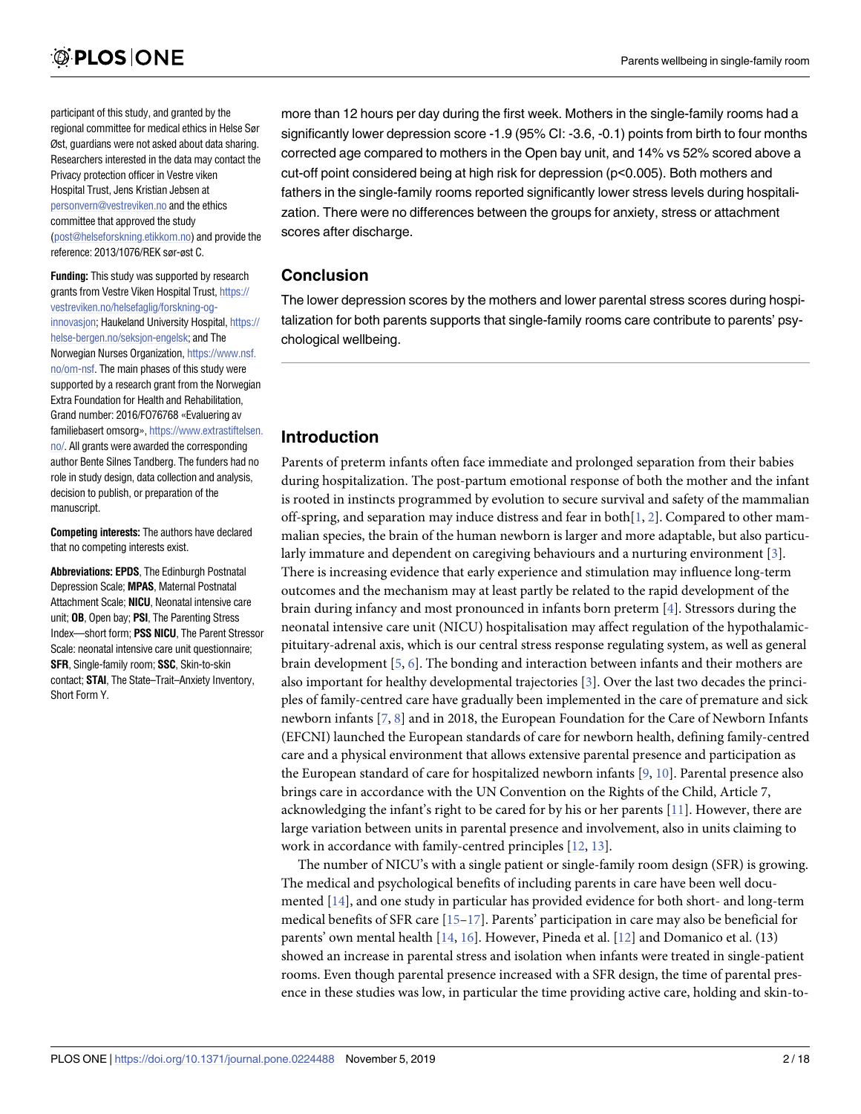<span id="page-1-0"></span>participant of this study, and granted by the regional committee for medical ethics in Helse Sør Øst, guardians were not asked about data sharing. Researchers interested in the data may contact the Privacy protection officer in Vestre viken Hospital Trust, Jens Kristian Jebsen at [personvern@vestreviken.no](mailto:personvern@vestreviken.no) and the ethics committee that approved the study [\(post@helseforskning.etikkom.no\)](mailto:post@helseforskning.etikkom.no) and provide the reference: 2013/1076/REK sør-øst C.

**Funding:** This study was supported by research grants from Vestre Viken Hospital Trust, [https://](https://vestreviken.no/helsefaglig/forskning-og-innovasjon) [vestreviken.no/helsefaglig/forskning-og](https://vestreviken.no/helsefaglig/forskning-og-innovasjon)[innovasjon](https://vestreviken.no/helsefaglig/forskning-og-innovasjon); Haukeland University Hospital, [https://](https://helse-bergen.no/seksjon-engelsk) [helse-bergen.no/seksjon-engelsk;](https://helse-bergen.no/seksjon-engelsk) and The Norwegian Nurses Organization, [https://www.nsf.](https://www.nsf.no/om-nsf) [no/om-nsf](https://www.nsf.no/om-nsf). The main phases of this study were supported by a research grant from the Norwegian Extra Foundation for Health and Rehabilitation, Grand number: 2016/FO76768 «Evaluering av familiebasert omsorg», [https://www.extrastiftelsen.](https://www.extrastiftelsen.no/) [no/.](https://www.extrastiftelsen.no/) All grants were awarded the corresponding author Bente Silnes Tandberg. The funders had no role in study design, data collection and analysis, decision to publish, or preparation of the manuscript.

**Competing interests:** The authors have declared that no competing interests exist.

**Abbreviations: EPDS**, The Edinburgh Postnatal Depression Scale; **MPAS**, Maternal Postnatal Attachment Scale; **NICU**, Neonatal intensive care unit; **OB**, Open bay; **PSI**, The Parenting Stress Index—short form; **PSS NICU**, The Parent Stressor Scale: neonatal intensive care unit questionnaire; **SFR**, Single-family room; **SSC**, Skin-to-skin contact; **STAI**, The State–Trait–Anxiety Inventory, Short Form Y.

more than 12 hours per day during the first week. Mothers in the single-family rooms had a significantly lower depression score -1.9 (95% CI: -3.6, -0.1) points from birth to four months corrected age compared to mothers in the Open bay unit, and 14% vs 52% scored above a cut-off point considered being at high risk for depression (p<0.005). Both mothers and fathers in the single-family rooms reported significantly lower stress levels during hospitalization. There were no differences between the groups for anxiety, stress or attachment scores after discharge.

#### **Conclusion**

The lower depression scores by the mothers and lower parental stress scores during hospitalization for both parents supports that single-family rooms care contribute to parents' psychological wellbeing.

## **Introduction**

Parents of preterm infants often face immediate and prolonged separation from their babies during hospitalization. The post-partum emotional response of both the mother and the infant is rooted in instincts programmed by evolution to secure survival and safety of the mammalian off-spring, and separation may induce distress and fear in both[[1,](#page-14-0) [2\]](#page-14-0). Compared to other mammalian species, the brain of the human newborn is larger and more adaptable, but also particularly immature and dependent on caregiving behaviours and a nurturing environment [[3](#page-14-0)]. There is increasing evidence that early experience and stimulation may influence long-term outcomes and the mechanism may at least partly be related to the rapid development of the brain during infancy and most pronounced in infants born preterm [[4](#page-14-0)]. Stressors during the neonatal intensive care unit (NICU) hospitalisation may affect regulation of the hypothalamicpituitary-adrenal axis, which is our central stress response regulating system, as well as general brain development [[5,](#page-14-0) [6\]](#page-14-0). The bonding and interaction between infants and their mothers are also important for healthy developmental trajectories [[3](#page-14-0)]. Over the last two decades the principles of family-centred care have gradually been implemented in the care of premature and sick newborn infants [\[7,](#page-14-0) [8](#page-14-0)] and in 2018, the European Foundation for the Care of Newborn Infants (EFCNI) launched the European standards of care for newborn health, defining family-centred care and a physical environment that allows extensive parental presence and participation as the European standard of care for hospitalized newborn infants [\[9,](#page-14-0) [10\]](#page-14-0). Parental presence also brings care in accordance with the UN Convention on the Rights of the Child, Article 7, acknowledging the infant's right to be cared for by his or her parents [\[11\]](#page-14-0). However, there are large variation between units in parental presence and involvement, also in units claiming to work in accordance with family-centred principles [\[12,](#page-15-0) [13\]](#page-15-0).

The number of NICU's with a single patient or single-family room design (SFR) is growing. The medical and psychological benefits of including parents in care have been well documented [\[14\]](#page-15-0), and one study in particular has provided evidence for both short- and long-term medical benefits of SFR care [[15–17\]](#page-15-0). Parents' participation in care may also be beneficial for parents' own mental health [[14](#page-15-0), [16](#page-15-0)]. However, Pineda et al. [[12](#page-15-0)] and Domanico et al. (13) showed an increase in parental stress and isolation when infants were treated in single-patient rooms. Even though parental presence increased with a SFR design, the time of parental presence in these studies was low, in particular the time providing active care, holding and skin-to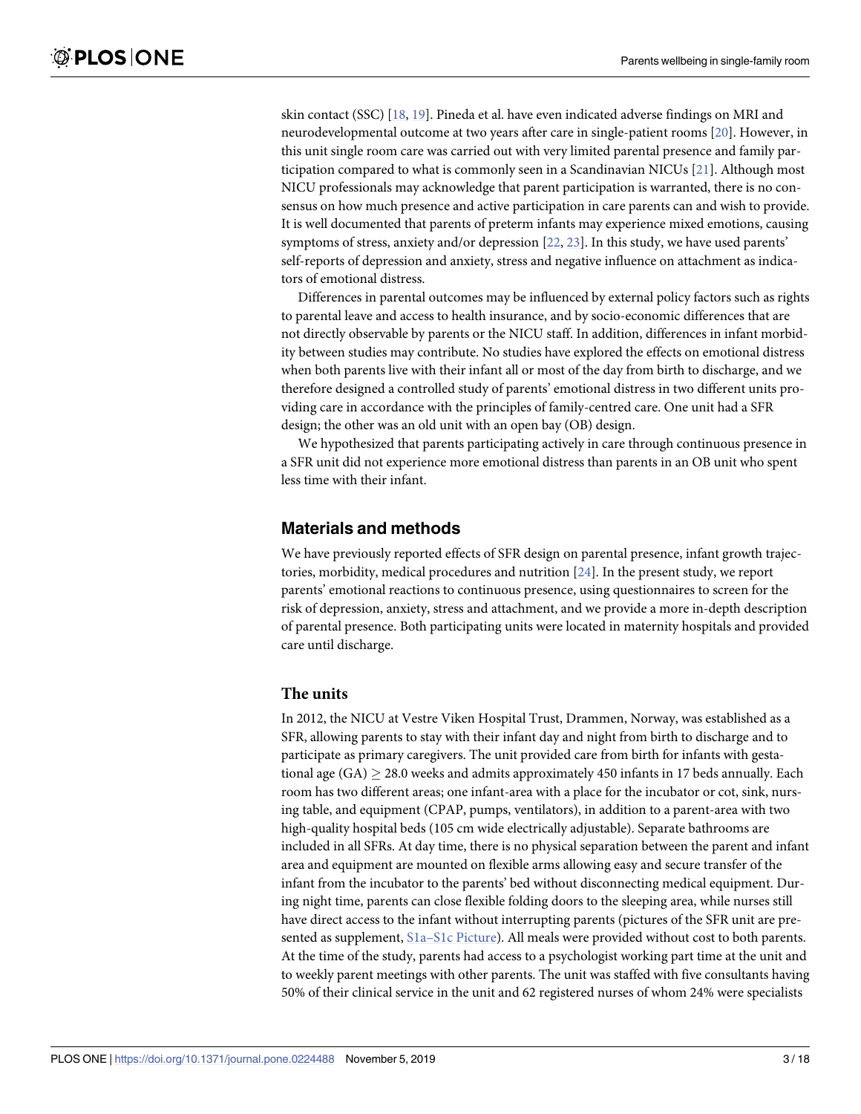<span id="page-2-0"></span>skin contact (SSC) [\[18,](#page-15-0) [19\]](#page-15-0). Pineda et al. have even indicated adverse findings on MRI and neurodevelopmental outcome at two years after care in single-patient rooms [[20](#page-15-0)]. However, in this unit single room care was carried out with very limited parental presence and family participation compared to what is commonly seen in a Scandinavian NICUs [\[21\]](#page-15-0). Although most NICU professionals may acknowledge that parent participation is warranted, there is no consensus on how much presence and active participation in care parents can and wish to provide. It is well documented that parents of preterm infants may experience mixed emotions, causing symptoms of stress, anxiety and/or depression [\[22,](#page-15-0) [23\]](#page-15-0). In this study, we have used parents' self-reports of depression and anxiety, stress and negative influence on attachment as indicators of emotional distress.

Differences in parental outcomes may be influenced by external policy factors such as rights to parental leave and access to health insurance, and by socio-economic differences that are not directly observable by parents or the NICU staff. In addition, differences in infant morbidity between studies may contribute. No studies have explored the effects on emotional distress when both parents live with their infant all or most of the day from birth to discharge, and we therefore designed a controlled study of parents' emotional distress in two different units providing care in accordance with the principles of family-centred care. One unit had a SFR design; the other was an old unit with an open bay (OB) design.

We hypothesized that parents participating actively in care through continuous presence in a SFR unit did not experience more emotional distress than parents in an OB unit who spent less time with their infant.

#### **Materials and methods**

We have previously reported effects of SFR design on parental presence, infant growth trajectories, morbidity, medical procedures and nutrition [[24](#page-15-0)]. In the present study, we report parents' emotional reactions to continuous presence, using questionnaires to screen for the risk of depression, anxiety, stress and attachment, and we provide a more in-depth description of parental presence. Both participating units were located in maternity hospitals and provided care until discharge.

#### **The units**

In 2012, the NICU at Vestre Viken Hospital Trust, Drammen, Norway, was established as a SFR, allowing parents to stay with their infant day and night from birth to discharge and to participate as primary caregivers. The unit provided care from birth for infants with gestational age  $(GA) \geq 28.0$  weeks and admits approximately 450 infants in 17 beds annually. Each room has two different areas; one infant-area with a place for the incubator or cot, sink, nursing table, and equipment (CPAP, pumps, ventilators), in addition to a parent-area with two high-quality hospital beds (105 cm wide electrically adjustable). Separate bathrooms are included in all SFRs. At day time, there is no physical separation between the parent and infant area and equipment are mounted on flexible arms allowing easy and secure transfer of the infant from the incubator to the parents' bed without disconnecting medical equipment. During night time, parents can close flexible folding doors to the sleeping area, while nurses still have direct access to the infant without interrupting parents (pictures of the SFR unit are presented as supplement, [S1a–S1c](#page-13-0) Picture). All meals were provided without cost to both parents. At the time of the study, parents had access to a psychologist working part time at the unit and to weekly parent meetings with other parents. The unit was staffed with five consultants having 50% of their clinical service in the unit and 62 registered nurses of whom 24% were specialists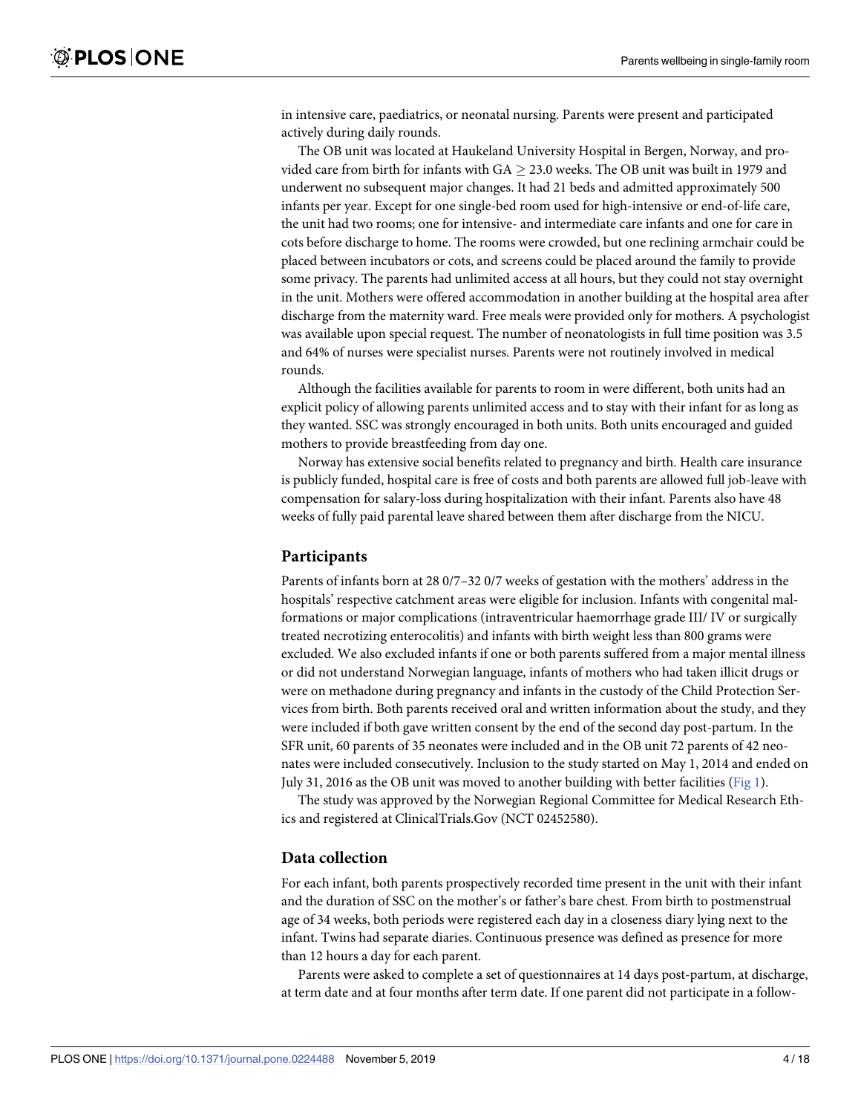<span id="page-3-0"></span>in intensive care, paediatrics, or neonatal nursing. Parents were present and participated actively during daily rounds.

The OB unit was located at Haukeland University Hospital in Bergen, Norway, and provided care from birth for infants with  $GA > 23.0$  weeks. The OB unit was built in 1979 and underwent no subsequent major changes. It had 21 beds and admitted approximately 500 infants per year. Except for one single-bed room used for high-intensive or end-of-life care, the unit had two rooms; one for intensive- and intermediate care infants and one for care in cots before discharge to home. The rooms were crowded, but one reclining armchair could be placed between incubators or cots, and screens could be placed around the family to provide some privacy. The parents had unlimited access at all hours, but they could not stay overnight in the unit. Mothers were offered accommodation in another building at the hospital area after discharge from the maternity ward. Free meals were provided only for mothers. A psychologist was available upon special request. The number of neonatologists in full time position was 3.5 and 64% of nurses were specialist nurses. Parents were not routinely involved in medical rounds.

Although the facilities available for parents to room in were different, both units had an explicit policy of allowing parents unlimited access and to stay with their infant for as long as they wanted. SSC was strongly encouraged in both units. Both units encouraged and guided mothers to provide breastfeeding from day one.

Norway has extensive social benefits related to pregnancy and birth. Health care insurance is publicly funded, hospital care is free of costs and both parents are allowed full job-leave with compensation for salary-loss during hospitalization with their infant. Parents also have 48 weeks of fully paid parental leave shared between them after discharge from the NICU.

#### **Participants**

Parents of infants born at 28 0/7–32 0/7 weeks of gestation with the mothers' address in the hospitals' respective catchment areas were eligible for inclusion. Infants with congenital malformations or major complications (intraventricular haemorrhage grade III/ IV or surgically treated necrotizing enterocolitis) and infants with birth weight less than 800 grams were excluded. We also excluded infants if one or both parents suffered from a major mental illness or did not understand Norwegian language, infants of mothers who had taken illicit drugs or were on methadone during pregnancy and infants in the custody of the Child Protection Services from birth. Both parents received oral and written information about the study, and they were included if both gave written consent by the end of the second day post-partum. In the SFR unit, 60 parents of 35 neonates were included and in the OB unit 72 parents of 42 neonates were included consecutively. Inclusion to the study started on May 1, 2014 and ended on July 31, 2016 as the OB unit was moved to another building with better facilities ( $Fig 1$  $Fig 1$ ).

The study was approved by the Norwegian Regional Committee for Medical Research Ethics and registered at ClinicalTrials.Gov (NCT 02452580).

#### **Data collection**

For each infant, both parents prospectively recorded time present in the unit with their infant and the duration of SSC on the mother's or father's bare chest. From birth to postmenstrual age of 34 weeks, both periods were registered each day in a closeness diary lying next to the infant. Twins had separate diaries. Continuous presence was defined as presence for more than 12 hours a day for each parent.

Parents were asked to complete a set of questionnaires at 14 days post-partum, at discharge, at term date and at four months after term date. If one parent did not participate in a follow-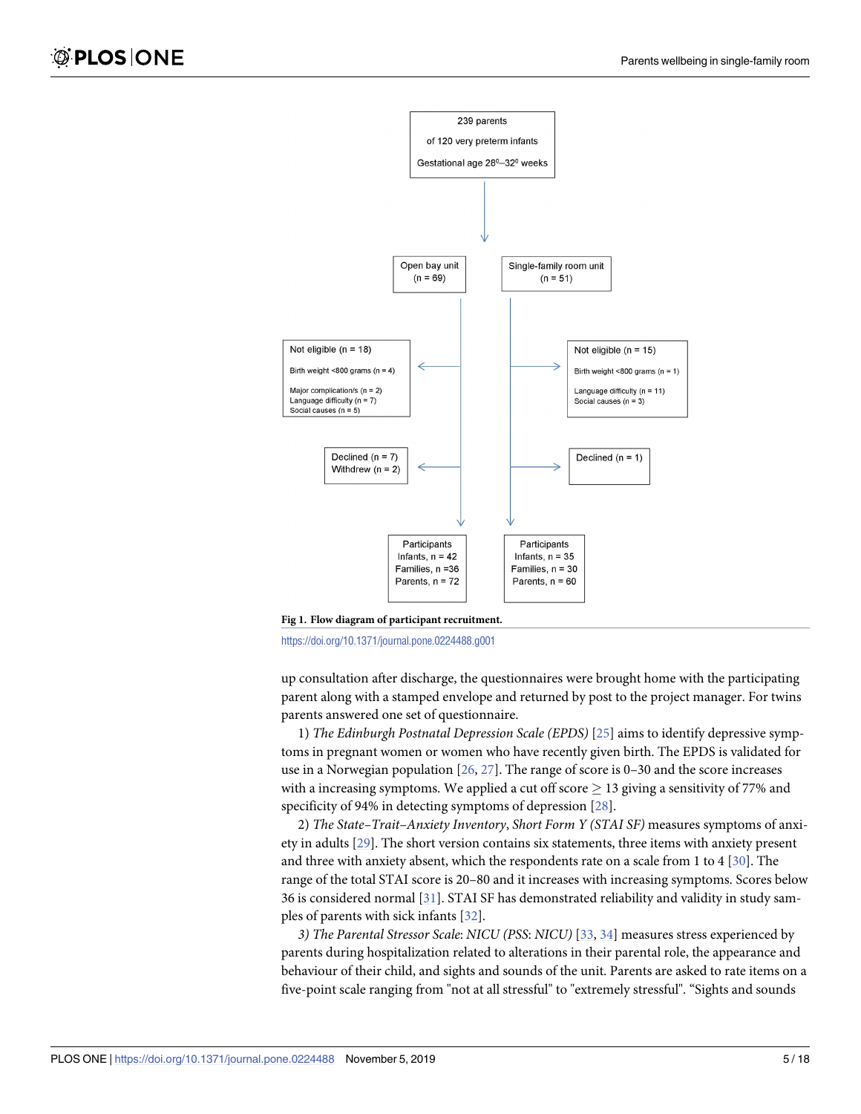<span id="page-4-0"></span>

**[Fig](#page-3-0) 1. Flow diagram of participant recruitment.**

<https://doi.org/10.1371/journal.pone.0224488.g001>

up consultation after discharge, the questionnaires were brought home with the participating parent along with a stamped envelope and returned by post to the project manager. For twins parents answered one set of questionnaire.

1) *The Edinburgh Postnatal Depression Scale (EPDS)* [\[25\]](#page-15-0) aims to identify depressive symptoms in pregnant women or women who have recently given birth. The EPDS is validated for use in a Norwegian population [\[26,](#page-15-0) [27\]](#page-15-0). The range of score is 0–30 and the score increases with a increasing symptoms. We applied a cut off score  $\geq$  13 giving a sensitivity of 77% and specificity of 94% in detecting symptoms of depression [\[28\]](#page-15-0).

2) *The State–Trait–Anxiety Inventory*, *Short Form Y (STAI SF)* measures symptoms of anxiety in adults [[29](#page-15-0)]. The short version contains six statements, three items with anxiety present and three with anxiety absent, which the respondents rate on a scale from 1 to 4 [[30](#page-15-0)]. The range of the total STAI score is 20–80 and it increases with increasing symptoms. Scores below 36 is considered normal [\[31\]](#page-16-0). STAI SF has demonstrated reliability and validity in study samples of parents with sick infants [\[32\]](#page-16-0).

*3) The Parental Stressor Scale*: *NICU (PSS*: *NICU)* [[33](#page-16-0), [34](#page-16-0)] measures stress experienced by parents during hospitalization related to alterations in their parental role, the appearance and behaviour of their child, and sights and sounds of the unit. Parents are asked to rate items on a five-point scale ranging from "not at all stressful" to "extremely stressful". "Sights and sounds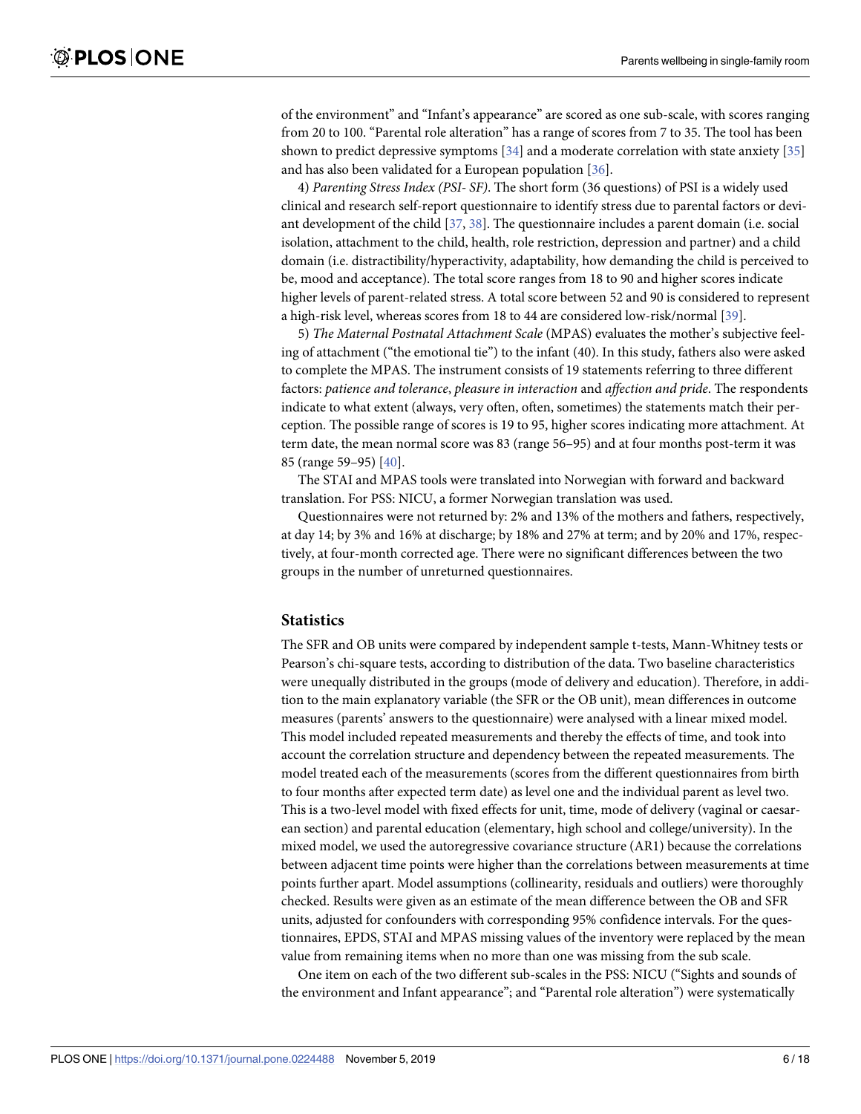<span id="page-5-0"></span>of the environment" and "Infant's appearance" are scored as one sub-scale, with scores ranging from 20 to 100. "Parental role alteration" has a range of scores from 7 to 35. The tool has been shown to predict depressive symptoms [[34](#page-16-0)] and a moderate correlation with state anxiety [[35](#page-16-0)] and has also been validated for a European population [[36](#page-16-0)].

4) *Parenting Stress Index (PSI- SF)*. The short form (36 questions) of PSI is a widely used clinical and research self-report questionnaire to identify stress due to parental factors or deviant development of the child [\[37,](#page-16-0) [38\]](#page-16-0). The questionnaire includes a parent domain (i.e. social isolation, attachment to the child, health, role restriction, depression and partner) and a child domain (i.e. distractibility/hyperactivity, adaptability, how demanding the child is perceived to be, mood and acceptance). The total score ranges from 18 to 90 and higher scores indicate higher levels of parent-related stress. A total score between 52 and 90 is considered to represent a high-risk level, whereas scores from 18 to 44 are considered low-risk/normal [[39](#page-16-0)].

5) *The Maternal Postnatal Attachment Scale* (MPAS) evaluates the mother's subjective feeling of attachment ("the emotional tie") to the infant (40). In this study, fathers also were asked to complete the MPAS. The instrument consists of 19 statements referring to three different factors: *patience and tolerance*, *pleasure in interaction* and *affection and pride*. The respondents indicate to what extent (always, very often, often, sometimes) the statements match their perception. The possible range of scores is 19 to 95, higher scores indicating more attachment. At term date, the mean normal score was 83 (range 56–95) and at four months post-term it was 85 (range 59–95) [[40](#page-16-0)].

The STAI and MPAS tools were translated into Norwegian with forward and backward translation. For PSS: NICU, a former Norwegian translation was used.

Questionnaires were not returned by: 2% and 13% of the mothers and fathers, respectively, at day 14; by 3% and 16% at discharge; by 18% and 27% at term; and by 20% and 17%, respectively, at four-month corrected age. There were no significant differences between the two groups in the number of unreturned questionnaires.

#### **Statistics**

The SFR and OB units were compared by independent sample t-tests, Mann-Whitney tests or Pearson's chi-square tests, according to distribution of the data. Two baseline characteristics were unequally distributed in the groups (mode of delivery and education). Therefore, in addition to the main explanatory variable (the SFR or the OB unit), mean differences in outcome measures (parents' answers to the questionnaire) were analysed with a linear mixed model. This model included repeated measurements and thereby the effects of time, and took into account the correlation structure and dependency between the repeated measurements. The model treated each of the measurements (scores from the different questionnaires from birth to four months after expected term date) as level one and the individual parent as level two. This is a two-level model with fixed effects for unit, time, mode of delivery (vaginal or caesarean section) and parental education (elementary, high school and college/university). In the mixed model, we used the autoregressive covariance structure (AR1) because the correlations between adjacent time points were higher than the correlations between measurements at time points further apart. Model assumptions (collinearity, residuals and outliers) were thoroughly checked. Results were given as an estimate of the mean difference between the OB and SFR units, adjusted for confounders with corresponding 95% confidence intervals. For the questionnaires, EPDS, STAI and MPAS missing values of the inventory were replaced by the mean value from remaining items when no more than one was missing from the sub scale.

One item on each of the two different sub-scales in the PSS: NICU ("Sights and sounds of the environment and Infant appearance"; and "Parental role alteration") were systematically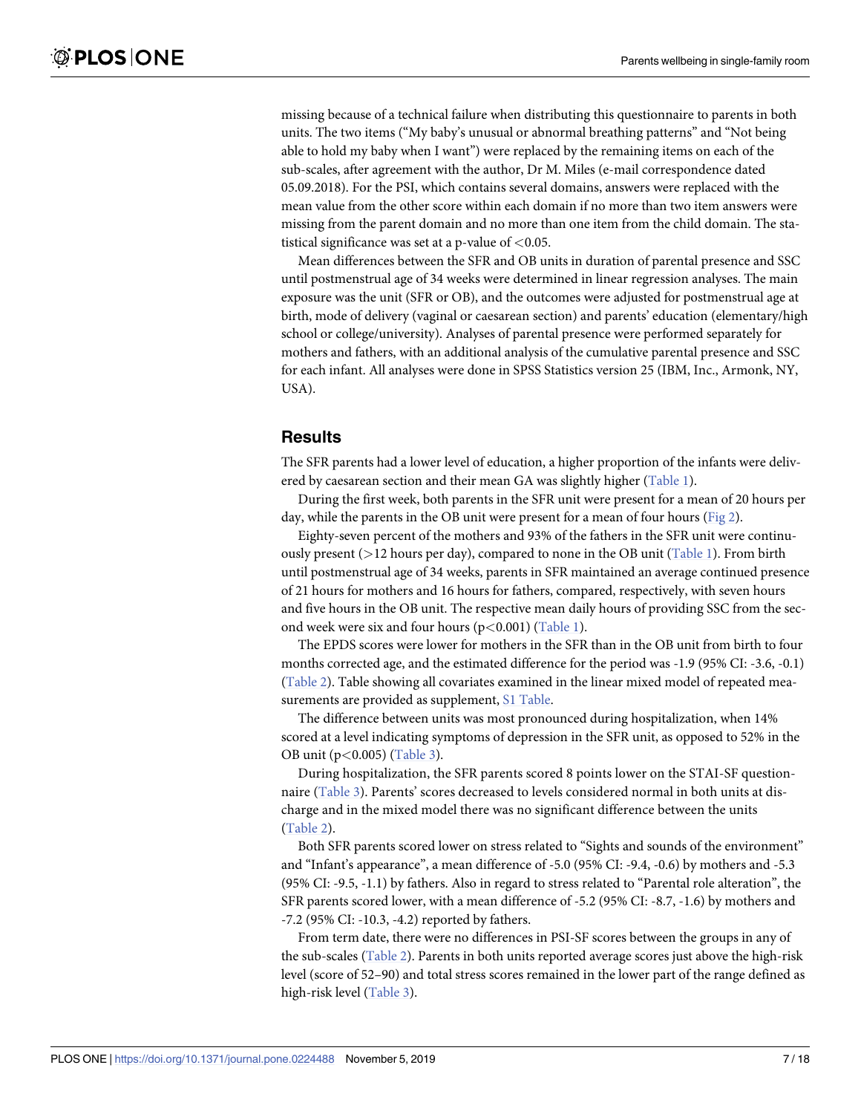<span id="page-6-0"></span>missing because of a technical failure when distributing this questionnaire to parents in both units. The two items ("My baby's unusual or abnormal breathing patterns" and "Not being able to hold my baby when I want") were replaced by the remaining items on each of the sub-scales, after agreement with the author, Dr M. Miles (e-mail correspondence dated 05.09.2018). For the PSI, which contains several domains, answers were replaced with the mean value from the other score within each domain if no more than two item answers were missing from the parent domain and no more than one item from the child domain. The statistical significance was set at a p-value of *<*0.05.

Mean differences between the SFR and OB units in duration of parental presence and SSC until postmenstrual age of 34 weeks were determined in linear regression analyses. The main exposure was the unit (SFR or OB), and the outcomes were adjusted for postmenstrual age at birth, mode of delivery (vaginal or caesarean section) and parents' education (elementary/high school or college/university). Analyses of parental presence were performed separately for mothers and fathers, with an additional analysis of the cumulative parental presence and SSC for each infant. All analyses were done in SPSS Statistics version 25 (IBM, Inc., Armonk, NY, USA).

#### **Results**

The SFR parents had a lower level of education, a higher proportion of the infants were deliv-ered by caesarean section and their mean GA was slightly higher [\(Table](#page-7-0) 1).

During the first week, both parents in the SFR unit were present for a mean of 20 hours per day, while the parents in the OB unit were present for a mean of four hours [\(Fig](#page-8-0) 2).

Eighty-seven percent of the mothers and 93% of the fathers in the SFR unit were continuously present (*>*12 hours per day), compared to none in the OB unit ([Table](#page-7-0) 1). From birth until postmenstrual age of 34 weeks, parents in SFR maintained an average continued presence of 21 hours for mothers and 16 hours for fathers, compared, respectively, with seven hours and five hours in the OB unit. The respective mean daily hours of providing SSC from the second week were six and four hours (p*<*0.001) [\(Table](#page-7-0) 1).

The EPDS scores were lower for mothers in the SFR than in the OB unit from birth to four months corrected age, and the estimated difference for the period was -1.9 (95% CI: -3.6, -0.1) [\(Table](#page-8-0) 2). Table showing all covariates examined in the linear mixed model of repeated measurements are provided as supplement, S1 [Table.](#page-13-0)

The difference between units was most pronounced during hospitalization, when 14% scored at a level indicating symptoms of depression in the SFR unit, as opposed to 52% in the OB unit (p*<*0.005) ([Table](#page-9-0) 3).

During hospitalization, the SFR parents scored 8 points lower on the STAI-SF questionnaire [\(Table](#page-9-0) 3). Parents' scores decreased to levels considered normal in both units at discharge and in the mixed model there was no significant difference between the units [\(Table](#page-8-0) 2).

Both SFR parents scored lower on stress related to "Sights and sounds of the environment" and "Infant's appearance", a mean difference of -5.0 (95% CI: -9.4, -0.6) by mothers and -5.3 (95% CI: -9.5, -1.1) by fathers. Also in regard to stress related to "Parental role alteration", the SFR parents scored lower, with a mean difference of -5.2 (95% CI: -8.7, -1.6) by mothers and -7.2 (95% CI: -10.3, -4.2) reported by fathers.

From term date, there were no differences in PSI-SF scores between the groups in any of the sub-scales [\(Table](#page-8-0) 2). Parents in both units reported average scores just above the high-risk level (score of 52–90) and total stress scores remained in the lower part of the range defined as high-risk level [\(Table](#page-9-0) 3).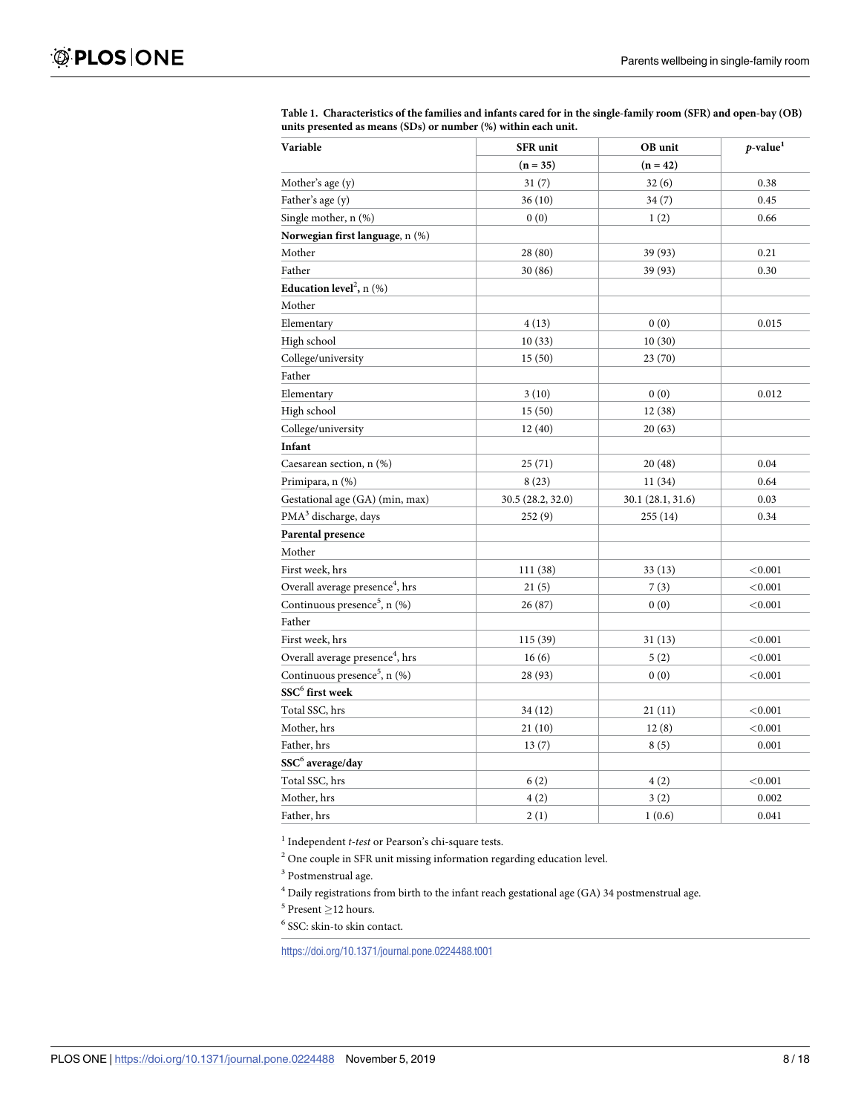| Variable                                    | <b>SFR</b> unit   | OB unit           | $p$ -value <sup>1</sup> |  |
|---------------------------------------------|-------------------|-------------------|-------------------------|--|
|                                             | $(n = 35)$        | $(n = 42)$        |                         |  |
| Mother's age $(y)$                          | 31(7)             | 32(6)             | 0.38                    |  |
| Father's age (y)                            | 36(10)            | 34(7)             | 0.45                    |  |
| Single mother, n (%)                        | 0(0)              | 1(2)              | 0.66                    |  |
| Norwegian first language, n (%)             |                   |                   |                         |  |
| Mother                                      | 28 (80)           | 39 (93)           | 0.21                    |  |
| Father                                      | 30(86)            | 39 (93)           | 0.30                    |  |
| Education level <sup>2</sup> , $n$ (%)      |                   |                   |                         |  |
| Mother                                      |                   |                   |                         |  |
| Elementary                                  | 4(13)             | 0(0)              | 0.015                   |  |
| High school                                 | 10(33)            | 10(30)            |                         |  |
| College/university                          | 15(50)            | 23 (70)           |                         |  |
| Father                                      |                   |                   |                         |  |
| Elementary                                  | 3(10)             | 0(0)              | 0.012                   |  |
| High school                                 | 15(50)            | 12(38)            |                         |  |
| College/university                          | 12(40)            | 20 (63)           |                         |  |
| Infant                                      |                   |                   |                         |  |
| Caesarean section, n (%)                    | 25(71)            | 20(48)            | 0.04                    |  |
| Primipara, n (%)                            | 8(23)             | 11(34)            | 0.64                    |  |
| Gestational age (GA) (min, max)             | 30.5 (28.2, 32.0) | 30.1 (28.1, 31.6) | 0.03                    |  |
| PMA <sup>3</sup> discharge, days            | 252(9)            | 255(14)           | 0.34                    |  |
| Parental presence                           |                   |                   |                         |  |
| Mother                                      |                   |                   |                         |  |
| First week, hrs                             | 111 (38)          | 33 (13)           | < 0.001                 |  |
| Overall average presence <sup>4</sup> , hrs | 21(5)             | 7(3)              | < 0.001                 |  |
| Continuous presence <sup>5</sup> , n (%)    | 26 (87)           | 0(0)              | < 0.001                 |  |
| Father                                      |                   |                   |                         |  |
| First week, hrs                             | 115 (39)          | 31 (13)           | < 0.001                 |  |
| Overall average presence <sup>4</sup> , hrs | 16(6)             | 5(2)              | < 0.001                 |  |
| Continuous presence <sup>5</sup> , n (%)    | 28 (93)           | 0(0)              | < 0.001                 |  |
| SSC <sup>6</sup> first week                 |                   |                   |                         |  |
| Total SSC, hrs                              | 34 (12)           | 21 (11)           | < 0.001                 |  |
| Mother, hrs                                 | 21(10)            | 12(8)             | < 0.001                 |  |
| Father, hrs                                 | 13(7)             | 8(5)              | 0.001                   |  |
| SSC <sup>6</sup> average/day                |                   |                   |                         |  |
| Total SSC, hrs                              | 6(2)              | 4(2)              | < 0.001                 |  |
| Mother, hrs                                 | 4(2)              | 3(2)              | 0.002                   |  |
| Father, hrs                                 | 2(1)              | 1(0.6)            | 0.041                   |  |

<span id="page-7-0"></span>[Table](#page-6-0) 1. Characteristics of the families and infants cared for in the single-family room (SFR) and open-bay (OB) **units presented as means (SDs) or number (%) within each unit.**

<sup>1</sup> Independent *t-test* or Pearson's chi-square tests.

 $^{\rm 2}$  One couple in SFR unit missing information regarding education level.

 $^3$  Postmenstrual age.

 $^4$  Daily registrations from birth to the infant reach gestational age (GA) 34 postmenstrual age.

 $^5$  Present  ${\geq}12$  hours.

 $^6$  SSC: skin-to skin contact.

<https://doi.org/10.1371/journal.pone.0224488.t001>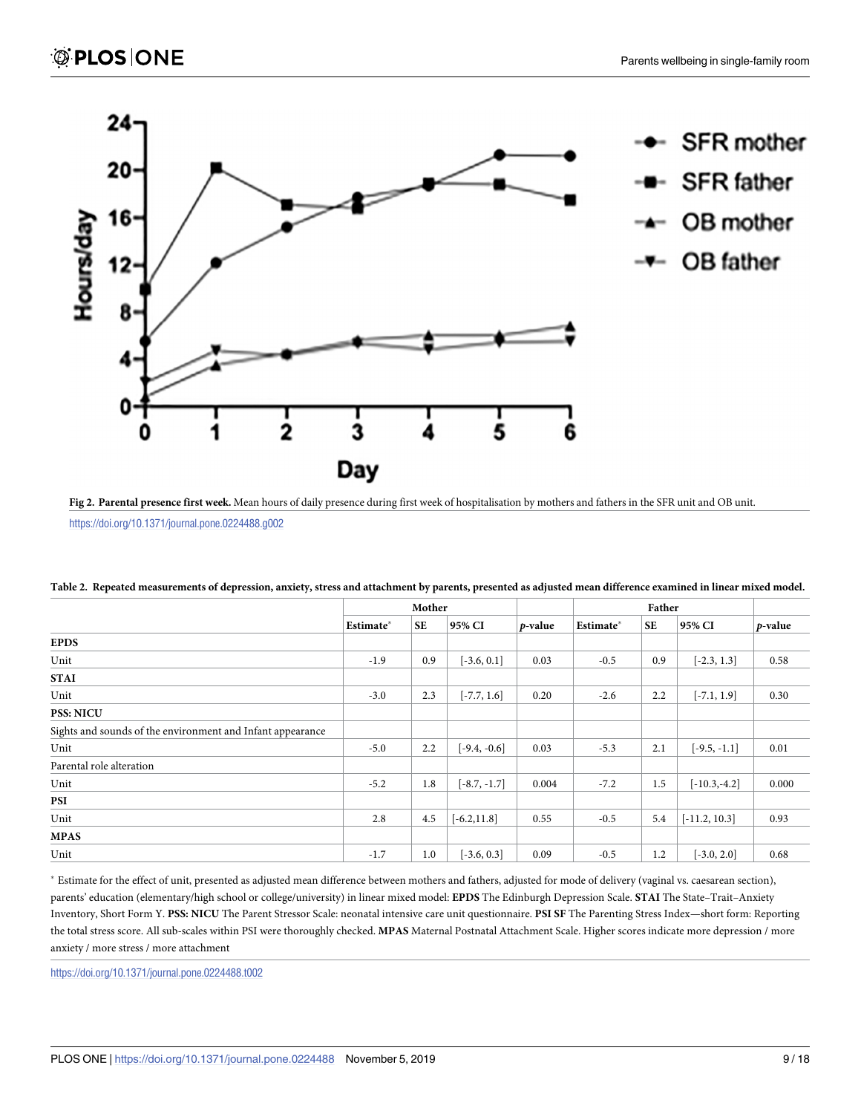<span id="page-8-0"></span>



| Table 2. Repeated measurements of depression, anxiety, stress and attachment by parents, presented as adjusted mean difference examined in linear mixed model. |  |  |  |
|----------------------------------------------------------------------------------------------------------------------------------------------------------------|--|--|--|
|----------------------------------------------------------------------------------------------------------------------------------------------------------------|--|--|--|

|                                                            | Mother    |           |                | Father  |           |           |                 |         |
|------------------------------------------------------------|-----------|-----------|----------------|---------|-----------|-----------|-----------------|---------|
|                                                            | Estimate* | <b>SE</b> | 95% CI         | p-value | Estimate* | <b>SE</b> | 95% CI          | p-value |
| <b>EPDS</b>                                                |           |           |                |         |           |           |                 |         |
| Unit                                                       | $-1.9$    | 0.9       | $[-3.6, 0.1]$  | 0.03    | $-0.5$    | 0.9       | $[-2.3, 1.3]$   | 0.58    |
| <b>STAI</b>                                                |           |           |                |         |           |           |                 |         |
| Unit                                                       | $-3.0$    | 2.3       | $[-7.7, 1.6]$  | 0.20    | $-2.6$    | 2.2       | $[-7.1, 1.9]$   | 0.30    |
| <b>PSS: NICU</b>                                           |           |           |                |         |           |           |                 |         |
| Sights and sounds of the environment and Infant appearance |           |           |                |         |           |           |                 |         |
| Unit                                                       | $-5.0$    | 2.2       | $[-9.4, -0.6]$ | 0.03    | $-5.3$    | 2.1       | $[-9.5, -1.1]$  | 0.01    |
| Parental role alteration                                   |           |           |                |         |           |           |                 |         |
| Unit                                                       | $-5.2$    | 1.8       | $[-8.7, -1.7]$ | 0.004   | $-7.2$    | 1.5       | $[-10.3,-4.2]$  | 0.000   |
| <b>PSI</b>                                                 |           |           |                |         |           |           |                 |         |
| Unit                                                       | 2.8       | 4.5       | $[-6.2, 11.8]$ | 0.55    | $-0.5$    | 5.4       | $[-11.2, 10.3]$ | 0.93    |
| <b>MPAS</b>                                                |           |           |                |         |           |           |                 |         |
| Unit                                                       | $-1.7$    | 1.0       | $[-3.6, 0.3]$  | 0.09    | $-0.5$    | 1.2       | $[-3.0, 2.0]$   | 0.68    |

� Estimate for the effect of unit, presented as adjusted mean difference between mothers and fathers, adjusted for mode of delivery (vaginal vs. caesarean section), parents' education (elementary/high school or college/university) in linear mixed model: **EPDS** The Edinburgh Depression Scale. **STAI** The State–Trait–Anxiety Inventory, Short Form Y. **PSS: NICU** The Parent Stressor Scale: neonatal intensive care unit questionnaire. **PSI SF** The Parenting Stress Index—short form: Reporting the total stress score. All sub-scales within PSI were thoroughly checked. **MPAS** Maternal Postnatal Attachment Scale. Higher scores indicate more depression / more anxiety / more stress / more attachment

<https://doi.org/10.1371/journal.pone.0224488.t002>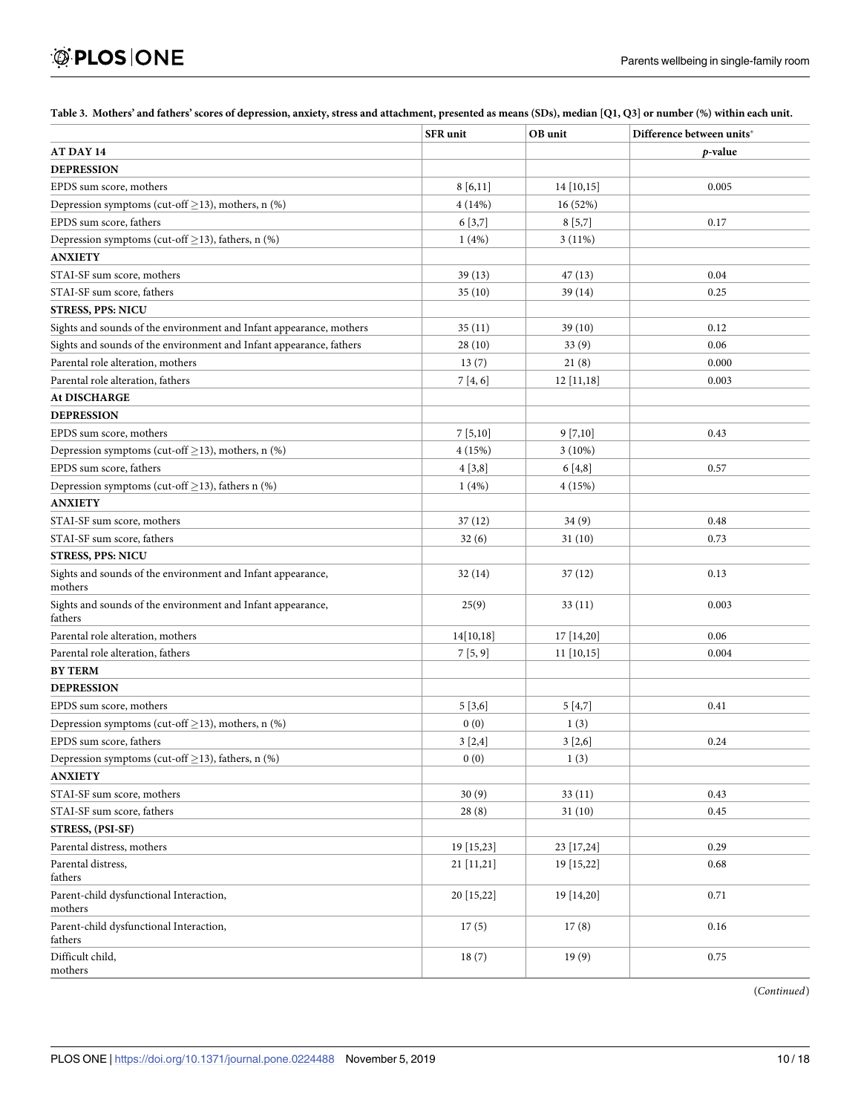<span id="page-9-0"></span>[Table](#page-6-0) 3. Mothers' and fathers' scores of depression, anxiety, stress and attachment, presented as means (SDs), median [Q1, Q3] or number (%) within each unit.

|                                                                        | <b>SFR</b> unit | OB unit    | Difference between units* |
|------------------------------------------------------------------------|-----------------|------------|---------------------------|
| AT DAY 14                                                              |                 |            | p-value                   |
| <b>DEPRESSION</b>                                                      |                 |            |                           |
| EPDS sum score, mothers                                                | 8[6,11]         | 14 [10,15] | 0.005                     |
| Depression symptoms (cut-off $\geq$ 13), mothers, n (%)                | 4(14%)          | 16 (52%)   |                           |
| EPDS sum score, fathers                                                | 6 [3,7]         | 8[5,7]     | 0.17                      |
| Depression symptoms (cut-off $\geq$ 13), fathers, n (%)                | 1(4%)           | 3(11%)     |                           |
| <b>ANXIETY</b>                                                         |                 |            |                           |
| STAI-SF sum score, mothers                                             | 39(13)          | 47(13)     | 0.04                      |
| STAI-SF sum score, fathers                                             | 35(10)          | 39(14)     | 0.25                      |
| <b>STRESS, PPS: NICU</b>                                               |                 |            |                           |
| Sights and sounds of the environment and Infant appearance, mothers    | 35(11)          | 39(10)     | 0.12                      |
| Sights and sounds of the environment and Infant appearance, fathers    | 28(10)          | 33(9)      | 0.06                      |
| Parental role alteration, mothers                                      | 13(7)           | 21(8)      | 0.000                     |
| Parental role alteration, fathers                                      | 7[4, 6]         | 12 [11,18] | 0.003                     |
| At DISCHARGE                                                           |                 |            |                           |
| <b>DEPRESSION</b>                                                      |                 |            |                           |
| EPDS sum score, mothers                                                | 7[5,10]         | 9[7,10]    | 0.43                      |
| Depression symptoms (cut-off $\geq$ 13), mothers, n (%)                | 4(15%)          | $3(10\%)$  |                           |
| EPDS sum score, fathers                                                | 4[3,8]          | 6[4,8]     | 0.57                      |
| Depression symptoms (cut-off $\geq$ 13), fathers n (%)                 | 1(4%)           | 4(15%)     |                           |
| <b>ANXIETY</b>                                                         |                 |            |                           |
| STAI-SF sum score, mothers                                             | 37(12)          | 34(9)      | 0.48                      |
| STAI-SF sum score, fathers                                             | 32(6)           | 31(10)     | 0.73                      |
| <b>STRESS, PPS: NICU</b>                                               |                 |            |                           |
| Sights and sounds of the environment and Infant appearance,            | 32(14)          | 37(12)     | 0.13                      |
| mothers                                                                |                 |            |                           |
| Sights and sounds of the environment and Infant appearance,<br>fathers | 25(9)           | 33(11)     | 0.003                     |
| Parental role alteration, mothers                                      | 14[10,18]       | 17 [14,20] | 0.06                      |
| Parental role alteration, fathers                                      | 7[5, 9]         | 11[10,15]  | 0.004                     |
| <b>BY TERM</b>                                                         |                 |            |                           |
| <b>DEPRESSION</b>                                                      |                 |            |                           |
| EPDS sum score, mothers                                                | 5[3,6]          | 5[4,7]     | 0.41                      |
| Depression symptoms (cut-off $\geq$ 13), mothers, n (%)                | 0(0)            | 1(3)       |                           |
| EPDS sum score, fathers                                                | 3[2,4]          | 3[2,6]     | 0.24                      |
| Depression symptoms (cut-off $\geq$ 13), fathers, n (%)                | 0(0)            | 1(3)       |                           |
| <b>ANXIETY</b>                                                         |                 |            |                           |
| STAI-SF sum score, mothers                                             | 30(9)           | 33(11)     | 0.43                      |
| STAI-SF sum score, fathers                                             | 28(8)           | 31(10)     | 0.45                      |
| STRESS, (PSI-SF)                                                       |                 |            |                           |
| Parental distress, mothers                                             | 19 [15,23]      | 23 [17,24] | 0.29                      |
| Parental distress,<br>fathers                                          | 21 [11,21]      | 19 [15,22] | 0.68                      |
| Parent-child dysfunctional Interaction,<br>mothers                     | 20 [15,22]      | 19 [14,20] | 0.71                      |
| Parent-child dysfunctional Interaction,<br>fathers                     | 17(5)           | 17(8)      | 0.16                      |
| Difficult child,<br>mothers                                            | 18(7)           | 19(9)      | 0.75                      |

(*Continued*)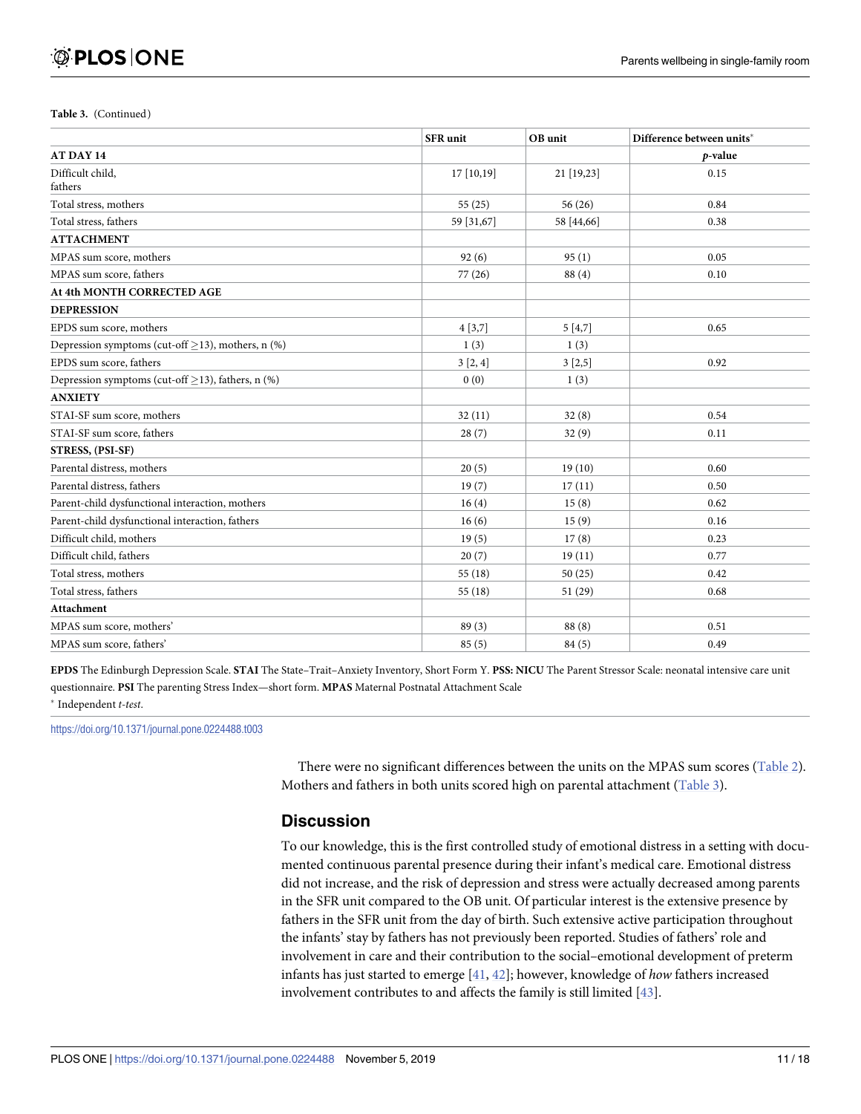#### <span id="page-10-0"></span>**Table 3.** (Continued)

|                                                         | <b>SFR</b> unit | OB unit    | Difference between units* |
|---------------------------------------------------------|-----------------|------------|---------------------------|
| AT DAY 14                                               |                 |            | p-value                   |
| Difficult child,<br>fathers                             | $17$ [10,19]    | 21 [19,23] | 0.15                      |
| Total stress, mothers                                   | 55(25)          | 56(26)     | 0.84                      |
| Total stress, fathers                                   | 59 [31,67]      | 58 [44,66] | 0.38                      |
| <b>ATTACHMENT</b>                                       |                 |            |                           |
| MPAS sum score, mothers                                 | 92(6)           | 95(1)      | 0.05                      |
| MPAS sum score, fathers                                 | 77(26)          | 88 (4)     | 0.10                      |
| At 4th MONTH CORRECTED AGE                              |                 |            |                           |
| <b>DEPRESSION</b>                                       |                 |            |                           |
| EPDS sum score, mothers                                 | 4 [3,7]         | 5[4,7]     | 0.65                      |
| Depression symptoms (cut-off $\geq$ 13), mothers, n (%) | 1(3)            | 1(3)       |                           |
| EPDS sum score, fathers                                 | 3[2,4]          | 3[2,5]     | 0.92                      |
| Depression symptoms (cut-off $\geq$ 13), fathers, n (%) | 0(0)            | 1(3)       |                           |
| <b>ANXIETY</b>                                          |                 |            |                           |
| STAI-SF sum score, mothers                              | 32(11)          | 32(8)      | 0.54                      |
| STAI-SF sum score, fathers                              | 28(7)           | 32(9)      | 0.11                      |
| STRESS, (PSI-SF)                                        |                 |            |                           |
| Parental distress, mothers                              | 20(5)           | 19(10)     | 0.60                      |
| Parental distress, fathers                              | 19(7)           | 17(11)     | 0.50                      |
| Parent-child dysfunctional interaction, mothers         | 16(4)           | 15(8)      | 0.62                      |
| Parent-child dysfunctional interaction, fathers         | 16(6)           | 15(9)      | 0.16                      |
| Difficult child, mothers                                | 19(5)           | 17(8)      | 0.23                      |
| Difficult child, fathers                                | 20(7)           | 19(11)     | 0.77                      |
| Total stress, mothers                                   | 55(18)          | 50(25)     | 0.42                      |
| Total stress, fathers                                   | 55(18)          | 51(29)     | 0.68                      |
| <b>Attachment</b>                                       |                 |            |                           |
| MPAS sum score, mothers'                                | 89(3)           | 88 (8)     | 0.51                      |
| MPAS sum score, fathers'                                | 85(5)           | 84(5)      | 0.49                      |

**EPDS** The Edinburgh Depression Scale. **STAI** The State–Trait–Anxiety Inventory, Short Form Y. **PSS: NICU** The Parent Stressor Scale: neonatal intensive care unit questionnaire. **PSI** The parenting Stress Index—short form. **MPAS** Maternal Postnatal Attachment Scale � Independent *t-test*.

<https://doi.org/10.1371/journal.pone.0224488.t003>

There were no significant differences between the units on the MPAS sum scores ([Table](#page-8-0) 2). Mothers and fathers in both units scored high on parental attachment ([Table](#page-9-0) 3).

#### **Discussion**

To our knowledge, this is the first controlled study of emotional distress in a setting with documented continuous parental presence during their infant's medical care. Emotional distress did not increase, and the risk of depression and stress were actually decreased among parents in the SFR unit compared to the OB unit. Of particular interest is the extensive presence by fathers in the SFR unit from the day of birth. Such extensive active participation throughout the infants' stay by fathers has not previously been reported. Studies of fathers' role and involvement in care and their contribution to the social–emotional development of preterm infants has just started to emerge [\[41,](#page-16-0) [42\]](#page-16-0); however, knowledge of *how* fathers increased involvement contributes to and affects the family is still limited [[43](#page-16-0)].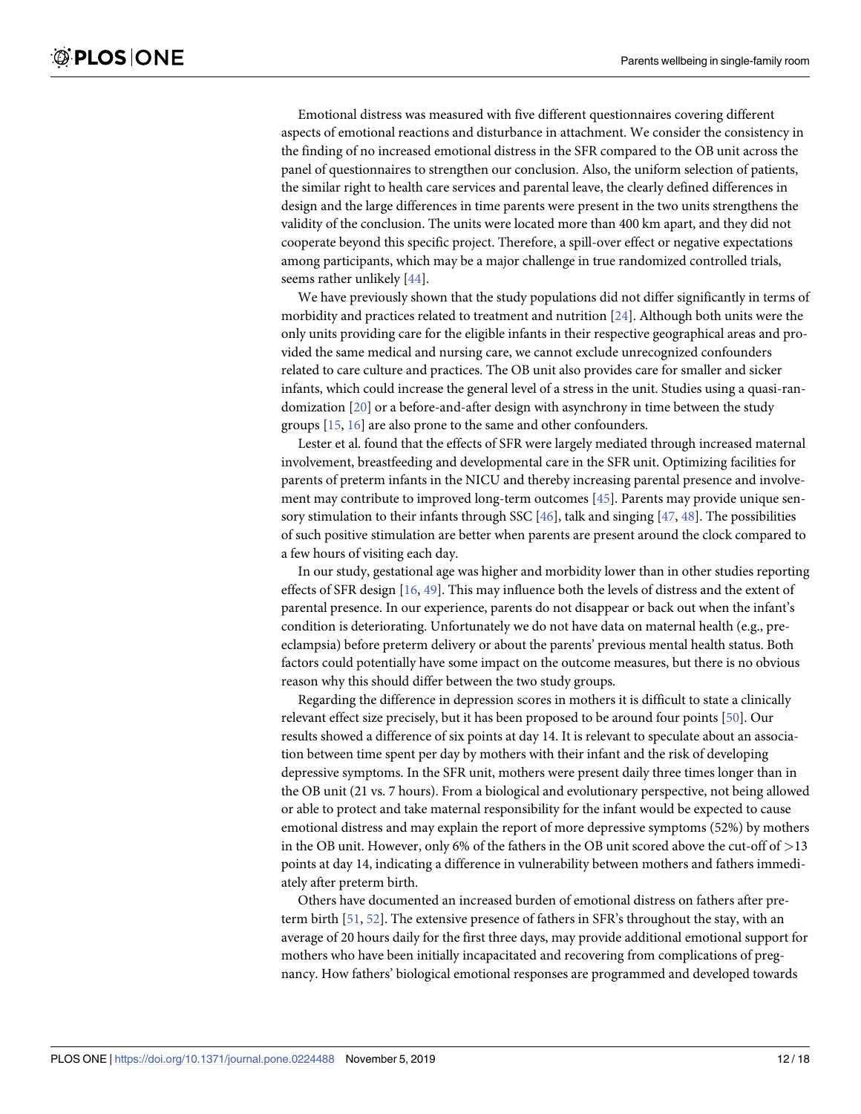<span id="page-11-0"></span>Emotional distress was measured with five different questionnaires covering different aspects of emotional reactions and disturbance in attachment. We consider the consistency in the finding of no increased emotional distress in the SFR compared to the OB unit across the panel of questionnaires to strengthen our conclusion. Also, the uniform selection of patients, the similar right to health care services and parental leave, the clearly defined differences in design and the large differences in time parents were present in the two units strengthens the validity of the conclusion. The units were located more than 400 km apart, and they did not cooperate beyond this specific project. Therefore, a spill-over effect or negative expectations among participants, which may be a major challenge in true randomized controlled trials, seems rather unlikely [\[44\]](#page-16-0).

We have previously shown that the study populations did not differ significantly in terms of morbidity and practices related to treatment and nutrition [\[24\]](#page-15-0). Although both units were the only units providing care for the eligible infants in their respective geographical areas and provided the same medical and nursing care, we cannot exclude unrecognized confounders related to care culture and practices. The OB unit also provides care for smaller and sicker infants, which could increase the general level of a stress in the unit. Studies using a quasi-randomization [\[20\]](#page-15-0) or a before-and-after design with asynchrony in time between the study groups [\[15,](#page-15-0) [16\]](#page-15-0) are also prone to the same and other confounders.

Lester et al. found that the effects of SFR were largely mediated through increased maternal involvement, breastfeeding and developmental care in the SFR unit. Optimizing facilities for parents of preterm infants in the NICU and thereby increasing parental presence and involvement may contribute to improved long-term outcomes [\[45\]](#page-16-0). Parents may provide unique sensory stimulation to their infants through SSC  $[46]$ , talk and singing  $[47, 48]$  $[47, 48]$  $[47, 48]$  $[47, 48]$  $[47, 48]$ . The possibilities of such positive stimulation are better when parents are present around the clock compared to a few hours of visiting each day.

In our study, gestational age was higher and morbidity lower than in other studies reporting effects of SFR design [\[16,](#page-15-0) [49\]](#page-16-0). This may influence both the levels of distress and the extent of parental presence. In our experience, parents do not disappear or back out when the infant's condition is deteriorating. Unfortunately we do not have data on maternal health (e.g., preeclampsia) before preterm delivery or about the parents' previous mental health status. Both factors could potentially have some impact on the outcome measures, but there is no obvious reason why this should differ between the two study groups.

Regarding the difference in depression scores in mothers it is difficult to state a clinically relevant effect size precisely, but it has been proposed to be around four points [\[50\]](#page-16-0). Our results showed a difference of six points at day 14. It is relevant to speculate about an association between time spent per day by mothers with their infant and the risk of developing depressive symptoms. In the SFR unit, mothers were present daily three times longer than in the OB unit (21 vs. 7 hours). From a biological and evolutionary perspective, not being allowed or able to protect and take maternal responsibility for the infant would be expected to cause emotional distress and may explain the report of more depressive symptoms (52%) by mothers in the OB unit. However, only 6% of the fathers in the OB unit scored above the cut-off of *>*13 points at day 14, indicating a difference in vulnerability between mothers and fathers immediately after preterm birth.

Others have documented an increased burden of emotional distress on fathers after preterm birth [[51](#page-16-0), [52](#page-17-0)]. The extensive presence of fathers in SFR's throughout the stay, with an average of 20 hours daily for the first three days, may provide additional emotional support for mothers who have been initially incapacitated and recovering from complications of pregnancy. How fathers' biological emotional responses are programmed and developed towards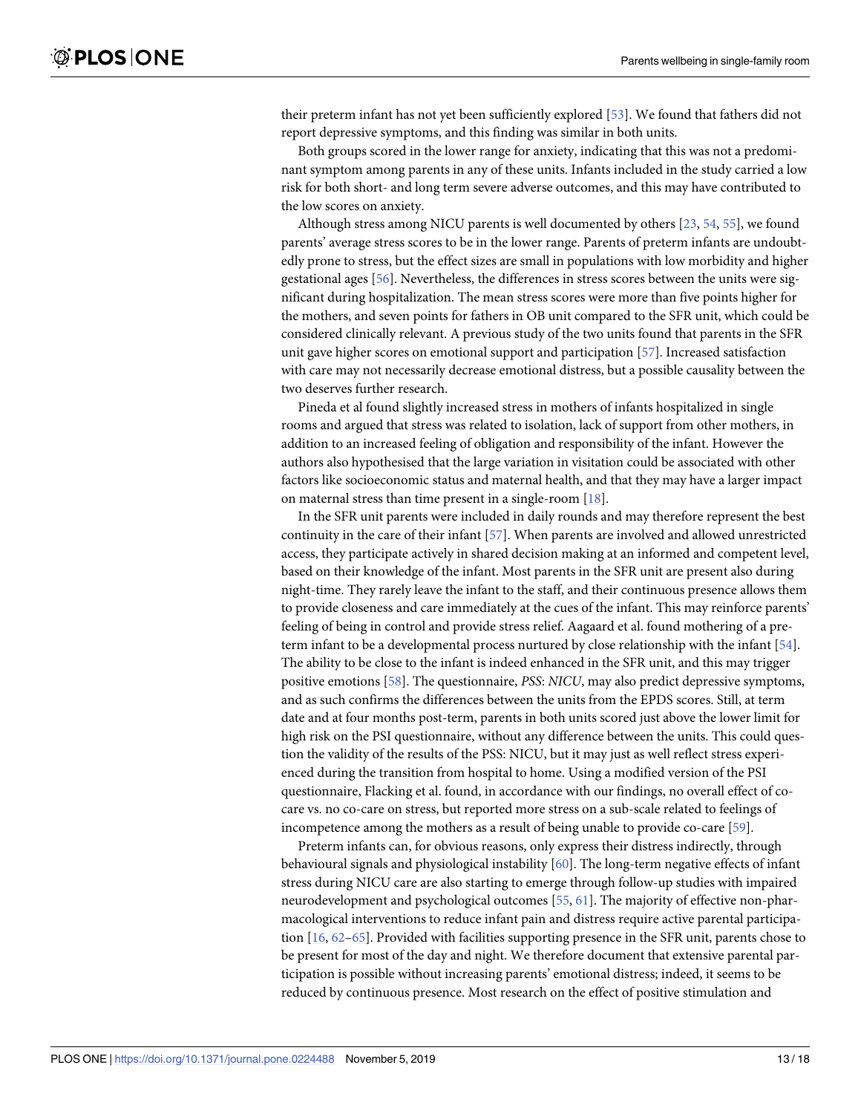<span id="page-12-0"></span>their preterm infant has not yet been sufficiently explored [\[53\]](#page-17-0). We found that fathers did not report depressive symptoms, and this finding was similar in both units.

Both groups scored in the lower range for anxiety, indicating that this was not a predominant symptom among parents in any of these units. Infants included in the study carried a low risk for both short- and long term severe adverse outcomes, and this may have contributed to the low scores on anxiety.

Although stress among NICU parents is well documented by others [\[23,](#page-15-0) [54,](#page-17-0) [55\]](#page-17-0), we found parents' average stress scores to be in the lower range. Parents of preterm infants are undoubtedly prone to stress, but the effect sizes are small in populations with low morbidity and higher gestational ages [\[56\]](#page-17-0). Nevertheless, the differences in stress scores between the units were significant during hospitalization. The mean stress scores were more than five points higher for the mothers, and seven points for fathers in OB unit compared to the SFR unit, which could be considered clinically relevant. A previous study of the two units found that parents in the SFR unit gave higher scores on emotional support and participation [\[57\]](#page-17-0). Increased satisfaction with care may not necessarily decrease emotional distress, but a possible causality between the two deserves further research.

Pineda et al found slightly increased stress in mothers of infants hospitalized in single rooms and argued that stress was related to isolation, lack of support from other mothers, in addition to an increased feeling of obligation and responsibility of the infant. However the authors also hypothesised that the large variation in visitation could be associated with other factors like socioeconomic status and maternal health, and that they may have a larger impact on maternal stress than time present in a single-room [\[18\]](#page-15-0).

In the SFR unit parents were included in daily rounds and may therefore represent the best continuity in the care of their infant [\[57\]](#page-17-0). When parents are involved and allowed unrestricted access, they participate actively in shared decision making at an informed and competent level, based on their knowledge of the infant. Most parents in the SFR unit are present also during night-time. They rarely leave the infant to the staff, and their continuous presence allows them to provide closeness and care immediately at the cues of the infant. This may reinforce parents' feeling of being in control and provide stress relief. Aagaard et al. found mothering of a preterm infant to be a developmental process nurtured by close relationship with the infant [\[54\]](#page-17-0). The ability to be close to the infant is indeed enhanced in the SFR unit, and this may trigger positive emotions [\[58\]](#page-17-0). The questionnaire, *PSS*: *NICU*, may also predict depressive symptoms, and as such confirms the differences between the units from the EPDS scores. Still, at term date and at four months post-term, parents in both units scored just above the lower limit for high risk on the PSI questionnaire, without any difference between the units. This could question the validity of the results of the PSS: NICU, but it may just as well reflect stress experienced during the transition from hospital to home. Using a modified version of the PSI questionnaire, Flacking et al. found, in accordance with our findings, no overall effect of cocare vs. no co-care on stress, but reported more stress on a sub-scale related to feelings of incompetence among the mothers as a result of being unable to provide co-care [\[59\]](#page-17-0).

Preterm infants can, for obvious reasons, only express their distress indirectly, through behavioural signals and physiological instability [\[60\]](#page-17-0). The long-term negative effects of infant stress during NICU care are also starting to emerge through follow-up studies with impaired neurodevelopment and psychological outcomes [\[55,](#page-17-0) [61\]](#page-17-0). The majority of effective non-pharmacological interventions to reduce infant pain and distress require active parental participation [[16](#page-15-0), [62–65\]](#page-17-0). Provided with facilities supporting presence in the SFR unit, parents chose to be present for most of the day and night. We therefore document that extensive parental participation is possible without increasing parents' emotional distress; indeed, it seems to be reduced by continuous presence. Most research on the effect of positive stimulation and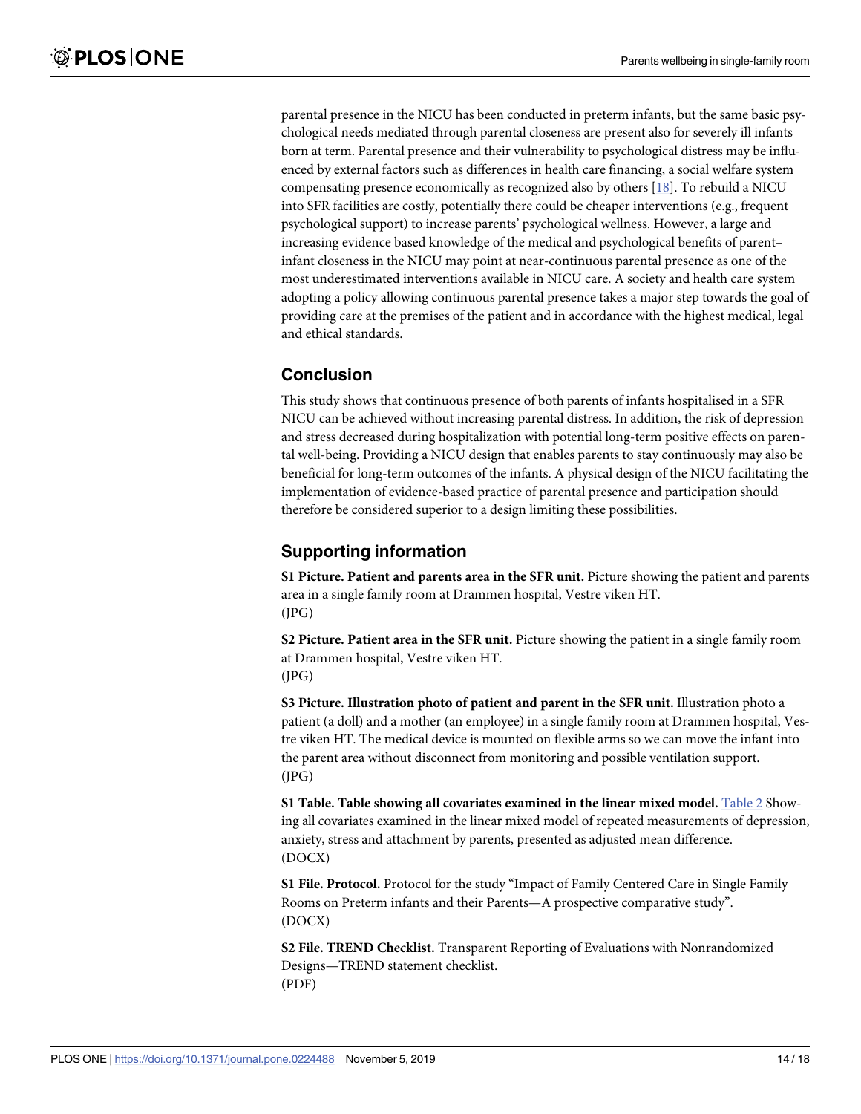<span id="page-13-0"></span>parental presence in the NICU has been conducted in preterm infants, but the same basic psychological needs mediated through parental closeness are present also for severely ill infants born at term. Parental presence and their vulnerability to psychological distress may be influenced by external factors such as differences in health care financing, a social welfare system compensating presence economically as recognized also by others [[18](#page-15-0)]. To rebuild a NICU into SFR facilities are costly, potentially there could be cheaper interventions (e.g., frequent psychological support) to increase parents' psychological wellness. However, a large and increasing evidence based knowledge of the medical and psychological benefits of parent– infant closeness in the NICU may point at near-continuous parental presence as one of the most underestimated interventions available in NICU care. A society and health care system adopting a policy allowing continuous parental presence takes a major step towards the goal of providing care at the premises of the patient and in accordance with the highest medical, legal and ethical standards.

#### **Conclusion**

This study shows that continuous presence of both parents of infants hospitalised in a SFR NICU can be achieved without increasing parental distress. In addition, the risk of depression and stress decreased during hospitalization with potential long-term positive effects on parental well-being. Providing a NICU design that enables parents to stay continuously may also be beneficial for long-term outcomes of the infants. A physical design of the NICU facilitating the implementation of evidence-based practice of parental presence and participation should therefore be considered superior to a design limiting these possibilities.

## **Supporting information**

**S1 [Picture](http://www.plosone.org/article/fetchSingleRepresentation.action?uri=info:doi/10.1371/journal.pone.0224488.s001). Patient and parents area in the SFR unit.** Picture showing the patient and parents area in a single family room at Drammen hospital, Vestre viken HT. (JPG)

**S2 [Picture.](http://www.plosone.org/article/fetchSingleRepresentation.action?uri=info:doi/10.1371/journal.pone.0224488.s002) Patient area in the SFR unit.** Picture showing the patient in a single family room at Drammen hospital, Vestre viken HT. (JPG)

**S3 [Picture.](http://www.plosone.org/article/fetchSingleRepresentation.action?uri=info:doi/10.1371/journal.pone.0224488.s003) Illustration photo of patient and parent in the SFR unit.** Illustration photo a patient (a doll) and a mother (an employee) in a single family room at Drammen hospital, Vestre viken HT. The medical device is mounted on flexible arms so we can move the infant into the parent area without disconnect from monitoring and possible ventilation support. (JPG)

**S1 [Table.](http://www.plosone.org/article/fetchSingleRepresentation.action?uri=info:doi/10.1371/journal.pone.0224488.s004) Table showing all covariates examined in the linear mixed model.** [Table](#page-8-0) 2 Showing all covariates examined in the linear mixed model of repeated measurements of depression, anxiety, stress and attachment by parents, presented as adjusted mean difference. (DOCX)

**S1 [File.](http://www.plosone.org/article/fetchSingleRepresentation.action?uri=info:doi/10.1371/journal.pone.0224488.s005) Protocol.** Protocol for the study "Impact of Family Centered Care in Single Family Rooms on Preterm infants and their Parents—A prospective comparative study". (DOCX)

**S2 [File.](http://www.plosone.org/article/fetchSingleRepresentation.action?uri=info:doi/10.1371/journal.pone.0224488.s006) TREND Checklist.** Transparent Reporting of Evaluations with Nonrandomized Designs—TREND statement checklist. (PDF)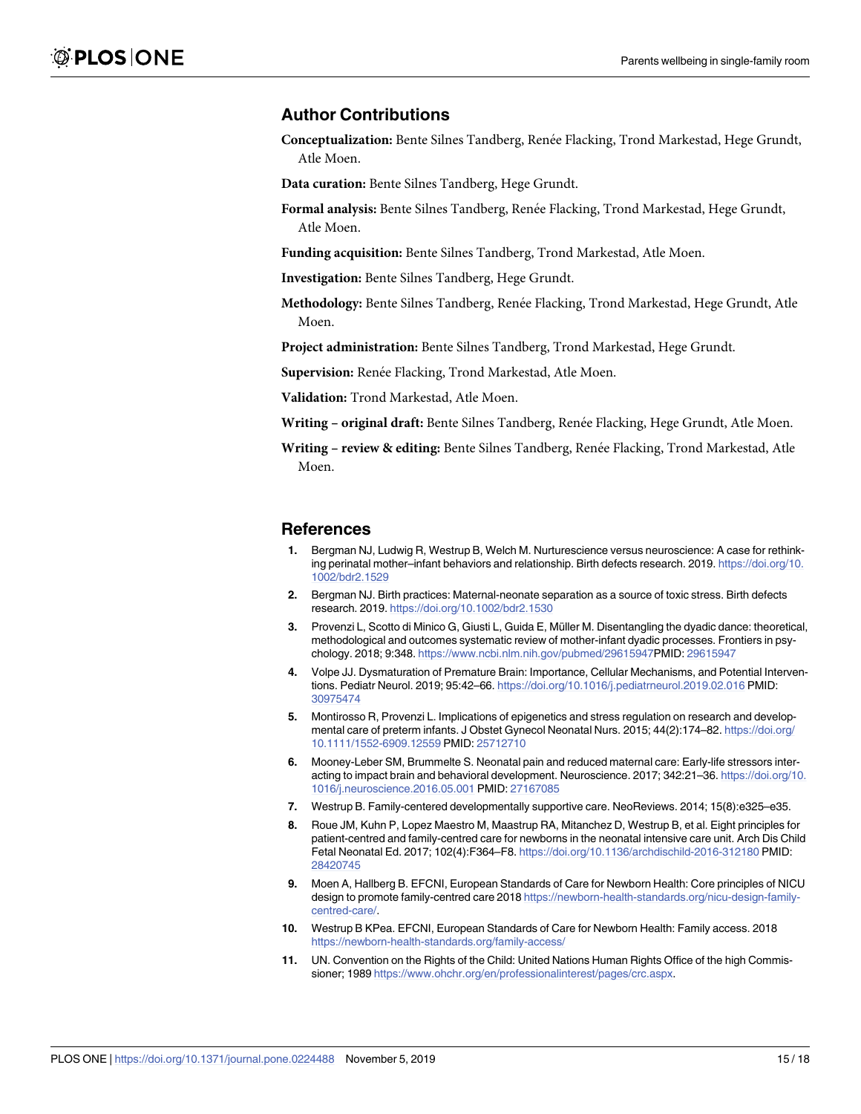#### <span id="page-14-0"></span>**Author Contributions**

**Conceptualization:** Bente Silnes Tandberg, Renée Flacking, Trond Markestad, Hege Grundt, Atle Moen.

**Data curation:** Bente Silnes Tandberg, Hege Grundt.

**Formal analysis:** Bente Silnes Tandberg, Renée Flacking, Trond Markestad, Hege Grundt, Atle Moen.

**Funding acquisition:** Bente Silnes Tandberg, Trond Markestad, Atle Moen.

**Investigation:** Bente Silnes Tandberg, Hege Grundt.

**Methodology:** Bente Silnes Tandberg, Renée Flacking, Trond Markestad, Hege Grundt, Atle Moen.

**Project administration:** Bente Silnes Tandberg, Trond Markestad, Hege Grundt.

Supervision: Renée Flacking, Trond Markestad, Atle Moen.

**Validation:** Trond Markestad, Atle Moen.

- **Writing original draft:** Bente Silnes Tandberg, Renée Flacking, Hege Grundt, Atle Moen.
- **Writing review & editing:** Bente Silnes Tandberg, Renée Flacking, Trond Markestad, Atle Moen.

#### **References**

- **[1](#page-1-0).** Bergman NJ, Ludwig R, Westrup B, Welch M. Nurturescience versus neuroscience: A case for rethinking perinatal mother–infant behaviors and relationship. Birth defects research. 2019. [https://doi.org/10.](https://doi.org/10.1002/bdr2.1529) [1002/bdr2.1529](https://doi.org/10.1002/bdr2.1529)
- **[2](#page-1-0).** Bergman NJ. Birth practices: Maternal-neonate separation as a source of toxic stress. Birth defects research. 2019. <https://doi.org/10.1002/bdr2.1530>
- **[3](#page-1-0).** Provenzi L, Scotto di Minico G, Giusti L, Guida E, Müller M. Disentangling the dyadic dance: theoretical, methodological and outcomes systematic review of mother-infant dyadic processes. Frontiers in psychology. 2018; 9:348. <https://www.ncbi.nlm.nih.gov/pubmed/29615947>PMID: [29615947](http://www.ncbi.nlm.nih.gov/pubmed/29615947)
- **[4](#page-1-0).** Volpe JJ. Dysmaturation of Premature Brain: Importance, Cellular Mechanisms, and Potential Interventions. Pediatr Neurol. 2019; 95:42–66. <https://doi.org/10.1016/j.pediatrneurol.2019.02.016> PMID: [30975474](http://www.ncbi.nlm.nih.gov/pubmed/30975474)
- **[5](#page-1-0).** Montirosso R, Provenzi L. Implications of epigenetics and stress regulation on research and developmental care of preterm infants. J Obstet Gynecol Neonatal Nurs. 2015; 44(2):174–82. [https://doi.org/](https://doi.org/10.1111/1552-6909.12559) [10.1111/1552-6909.12559](https://doi.org/10.1111/1552-6909.12559) PMID: [25712710](http://www.ncbi.nlm.nih.gov/pubmed/25712710)
- **[6](#page-1-0).** Mooney-Leber SM, Brummelte S. Neonatal pain and reduced maternal care: Early-life stressors interacting to impact brain and behavioral development. Neuroscience. 2017; 342:21–36. [https://doi.org/10.](https://doi.org/10.1016/j.neuroscience.2016.05.001) [1016/j.neuroscience.2016.05.001](https://doi.org/10.1016/j.neuroscience.2016.05.001) PMID: [27167085](http://www.ncbi.nlm.nih.gov/pubmed/27167085)
- **[7](#page-1-0).** Westrup B. Family-centered developmentally supportive care. NeoReviews. 2014; 15(8):e325–e35.
- **[8](#page-1-0).** Roue JM, Kuhn P, Lopez Maestro M, Maastrup RA, Mitanchez D, Westrup B, et al. Eight principles for patient-centred and family-centred care for newborns in the neonatal intensive care unit. Arch Dis Child Fetal Neonatal Ed. 2017; 102(4):F364–F8. <https://doi.org/10.1136/archdischild-2016-312180> PMID: [28420745](http://www.ncbi.nlm.nih.gov/pubmed/28420745)
- **[9](#page-1-0).** Moen A, Hallberg B. EFCNI, European Standards of Care for Newborn Health: Core principles of NICU design to promote family-centred care 2018 [https://newborn-health-standards.org/nicu-design-family](https://newborn-health-standards.org/nicu-design-family-centred-care/)[centred-care/.](https://newborn-health-standards.org/nicu-design-family-centred-care/)
- **[10](#page-1-0).** Westrup B KPea. EFCNI, European Standards of Care for Newborn Health: Family access. 2018 <https://newborn-health-standards.org/family-access/>
- **[11](#page-1-0).** UN. Convention on the Rights of the Child: United Nations Human Rights Office of the high Commissioner; 1989 [https://www.ohchr.org/en/professionalinterest/pages/crc.aspx.](https://www.ohchr.org/en/professionalinterest/pages/crc.aspx)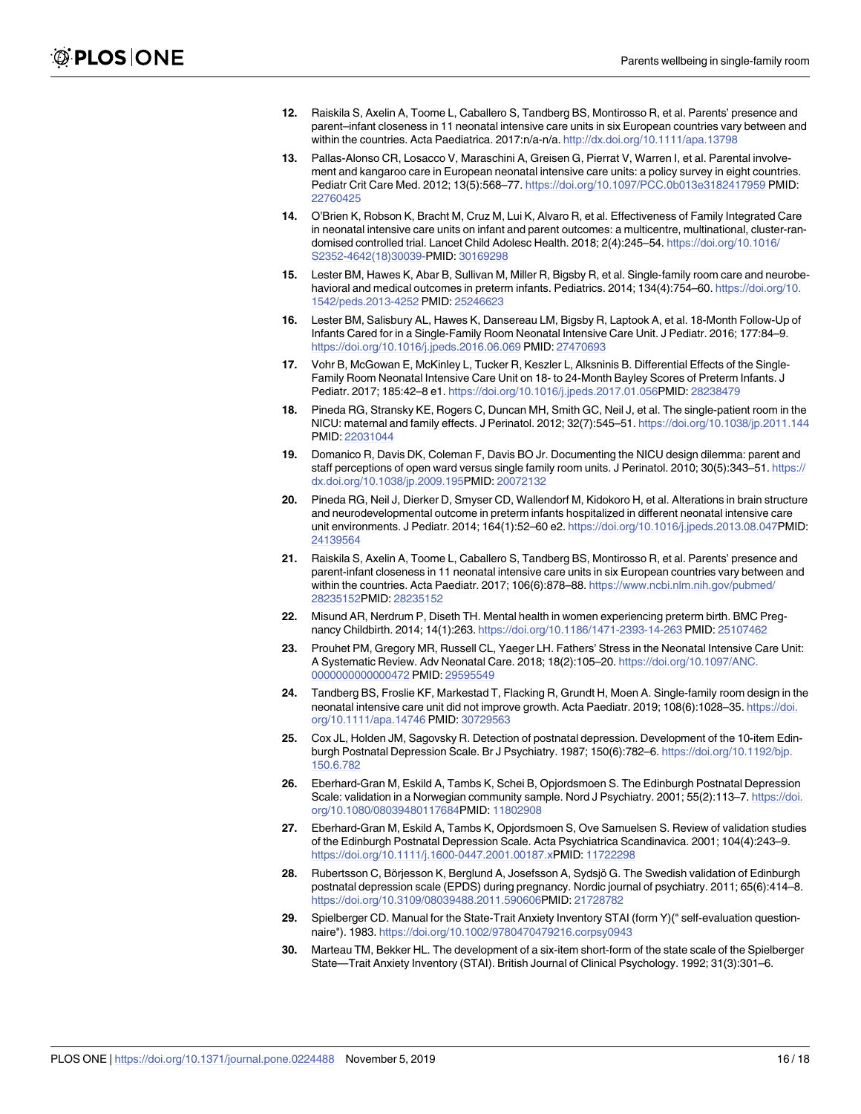- <span id="page-15-0"></span>**[12](#page-1-0).** Raiskila S, Axelin A, Toome L, Caballero S, Tandberg BS, Montirosso R, et al. Parents' presence and parent–infant closeness in 11 neonatal intensive care units in six European countries vary between and within the countries. Acta Paediatrica. 2017:n/a-n/a. <http://dx.doi.org/10.1111/apa.13798>
- **[13](#page-1-0).** Pallas-Alonso CR, Losacco V, Maraschini A, Greisen G, Pierrat V, Warren I, et al. Parental involvement and kangaroo care in European neonatal intensive care units: a policy survey in eight countries. Pediatr Crit Care Med. 2012; 13(5):568–77. <https://doi.org/10.1097/PCC.0b013e3182417959> PMID: [22760425](http://www.ncbi.nlm.nih.gov/pubmed/22760425)
- **[14](#page-1-0).** O'Brien K, Robson K, Bracht M, Cruz M, Lui K, Alvaro R, et al. Effectiveness of Family Integrated Care in neonatal intensive care units on infant and parent outcomes: a multicentre, multinational, cluster-randomised controlled trial. Lancet Child Adolesc Health. 2018; 2(4):245–54. [https://doi.org/10.1016/](https://doi.org/10.1016/S2352-4642(18)30039-) [S2352-4642\(18\)30039-P](https://doi.org/10.1016/S2352-4642(18)30039-)MID: [30169298](http://www.ncbi.nlm.nih.gov/pubmed/30169298)
- **[15](#page-1-0).** Lester BM, Hawes K, Abar B, Sullivan M, Miller R, Bigsby R, et al. Single-family room care and neurobehavioral and medical outcomes in preterm infants. Pediatrics. 2014; 134(4):754–60. [https://doi.org/10.](https://doi.org/10.1542/peds.2013-4252) [1542/peds.2013-4252](https://doi.org/10.1542/peds.2013-4252) PMID: [25246623](http://www.ncbi.nlm.nih.gov/pubmed/25246623)
- **[16](#page-1-0).** Lester BM, Salisbury AL, Hawes K, Dansereau LM, Bigsby R, Laptook A, et al. 18-Month Follow-Up of Infants Cared for in a Single-Family Room Neonatal Intensive Care Unit. J Pediatr. 2016; 177:84–9. <https://doi.org/10.1016/j.jpeds.2016.06.069> PMID: [27470693](http://www.ncbi.nlm.nih.gov/pubmed/27470693)
- **[17](#page-1-0).** Vohr B, McGowan E, McKinley L, Tucker R, Keszler L, Alksninis B. Differential Effects of the Single-Family Room Neonatal Intensive Care Unit on 18- to 24-Month Bayley Scores of Preterm Infants. J Pediatr. 2017; 185:42–8 e1. <https://doi.org/10.1016/j.jpeds.2017.01.056>PMID: [28238479](http://www.ncbi.nlm.nih.gov/pubmed/28238479)
- **[18](#page-2-0).** Pineda RG, Stransky KE, Rogers C, Duncan MH, Smith GC, Neil J, et al. The single-patient room in the NICU: maternal and family effects. J Perinatol. 2012; 32(7):545–51. <https://doi.org/10.1038/jp.2011.144> PMID: [22031044](http://www.ncbi.nlm.nih.gov/pubmed/22031044)
- **[19](#page-2-0).** Domanico R, Davis DK, Coleman F, Davis BO Jr. Documenting the NICU design dilemma: parent and staff perceptions of open ward versus single family room units. J Perinatol. 2010; 30(5):343–51. [https://](https://dx.doi.org/10.1038/jp.2009.195) [dx.doi.org/10.1038/jp.2009.195P](https://dx.doi.org/10.1038/jp.2009.195)MID: [20072132](http://www.ncbi.nlm.nih.gov/pubmed/20072132)
- **[20](#page-2-0).** Pineda RG, Neil J, Dierker D, Smyser CD, Wallendorf M, Kidokoro H, et al. Alterations in brain structure and neurodevelopmental outcome in preterm infants hospitalized in different neonatal intensive care unit environments. J Pediatr. 2014; 164(1):52–60 e2. <https://doi.org/10.1016/j.jpeds.2013.08.047>PMID: [24139564](http://www.ncbi.nlm.nih.gov/pubmed/24139564)
- **[21](#page-2-0).** Raiskila S, Axelin A, Toome L, Caballero S, Tandberg BS, Montirosso R, et al. Parents' presence and parent-infant closeness in 11 neonatal intensive care units in six European countries vary between and within the countries. Acta Paediatr. 2017; 106(6):878–88. [https://www.ncbi.nlm.nih.gov/pubmed/](https://www.ncbi.nlm.nih.gov/pubmed/28235152) [28235152](https://www.ncbi.nlm.nih.gov/pubmed/28235152)PMID: [28235152](http://www.ncbi.nlm.nih.gov/pubmed/28235152)
- **[22](#page-2-0).** Misund AR, Nerdrum P, Diseth TH. Mental health in women experiencing preterm birth. BMC Pregnancy Childbirth. 2014; 14(1):263. <https://doi.org/10.1186/1471-2393-14-263> PMID: [25107462](http://www.ncbi.nlm.nih.gov/pubmed/25107462)
- **[23](#page-2-0).** Prouhet PM, Gregory MR, Russell CL, Yaeger LH. Fathers' Stress in the Neonatal Intensive Care Unit: A Systematic Review. Adv Neonatal Care. 2018; 18(2):105–20. [https://doi.org/10.1097/ANC.](https://doi.org/10.1097/ANC.0000000000000472) [0000000000000472](https://doi.org/10.1097/ANC.0000000000000472) PMID: [29595549](http://www.ncbi.nlm.nih.gov/pubmed/29595549)
- **[24](#page-2-0).** Tandberg BS, Froslie KF, Markestad T, Flacking R, Grundt H, Moen A. Single-family room design in the neonatal intensive care unit did not improve growth. Acta Paediatr. 2019; 108(6):1028–35. [https://doi.](https://doi.org/10.1111/apa.14746) [org/10.1111/apa.14746](https://doi.org/10.1111/apa.14746) PMID: [30729563](http://www.ncbi.nlm.nih.gov/pubmed/30729563)
- **[25](#page-4-0).** Cox JL, Holden JM, Sagovsky R. Detection of postnatal depression. Development of the 10-item Edinburgh Postnatal Depression Scale. Br J Psychiatry. 1987; 150(6):782–6. [https://doi.org/10.1192/bjp.](https://doi.org/10.1192/bjp.150.6.782) [150.6.782](https://doi.org/10.1192/bjp.150.6.782)
- **[26](#page-4-0).** Eberhard-Gran M, Eskild A, Tambs K, Schei B, Opjordsmoen S. The Edinburgh Postnatal Depression Scale: validation in a Norwegian community sample. Nord J Psychiatry. 2001; 55(2):113–7. [https://doi.](https://doi.org/10.1080/08039480117684) [org/10.1080/08039480117684P](https://doi.org/10.1080/08039480117684)MID: [11802908](http://www.ncbi.nlm.nih.gov/pubmed/11802908)
- **[27](#page-4-0).** Eberhard-Gran M, Eskild A, Tambs K, Opjordsmoen S, Ove Samuelsen S. Review of validation studies of the Edinburgh Postnatal Depression Scale. Acta Psychiatrica Scandinavica. 2001; 104(4):243–9. <https://doi.org/10.1111/j.1600-0447.2001.00187.x>PMID: [11722298](http://www.ncbi.nlm.nih.gov/pubmed/11722298)
- [28](#page-4-0). Rubertsson C, Börjesson K, Berglund A, Josefsson A, Sydsjö G. The Swedish validation of Edinburgh postnatal depression scale (EPDS) during pregnancy. Nordic journal of psychiatry. 2011; 65(6):414–8. [https://doi.org/10.3109/08039488.2011.590606P](https://doi.org/10.3109/08039488.2011.590606)MID: [21728782](http://www.ncbi.nlm.nih.gov/pubmed/21728782)
- **[29](#page-4-0).** Spielberger CD. Manual for the State-Trait Anxiety Inventory STAI (form Y)(" self-evaluation questionnaire"). 1983. <https://doi.org/10.1002/9780470479216.corpsy0943>
- **[30](#page-4-0).** Marteau TM, Bekker HL. The development of a six-item short-form of the state scale of the Spielberger State—Trait Anxiety Inventory (STAI). British Journal of Clinical Psychology. 1992; 31(3):301–6.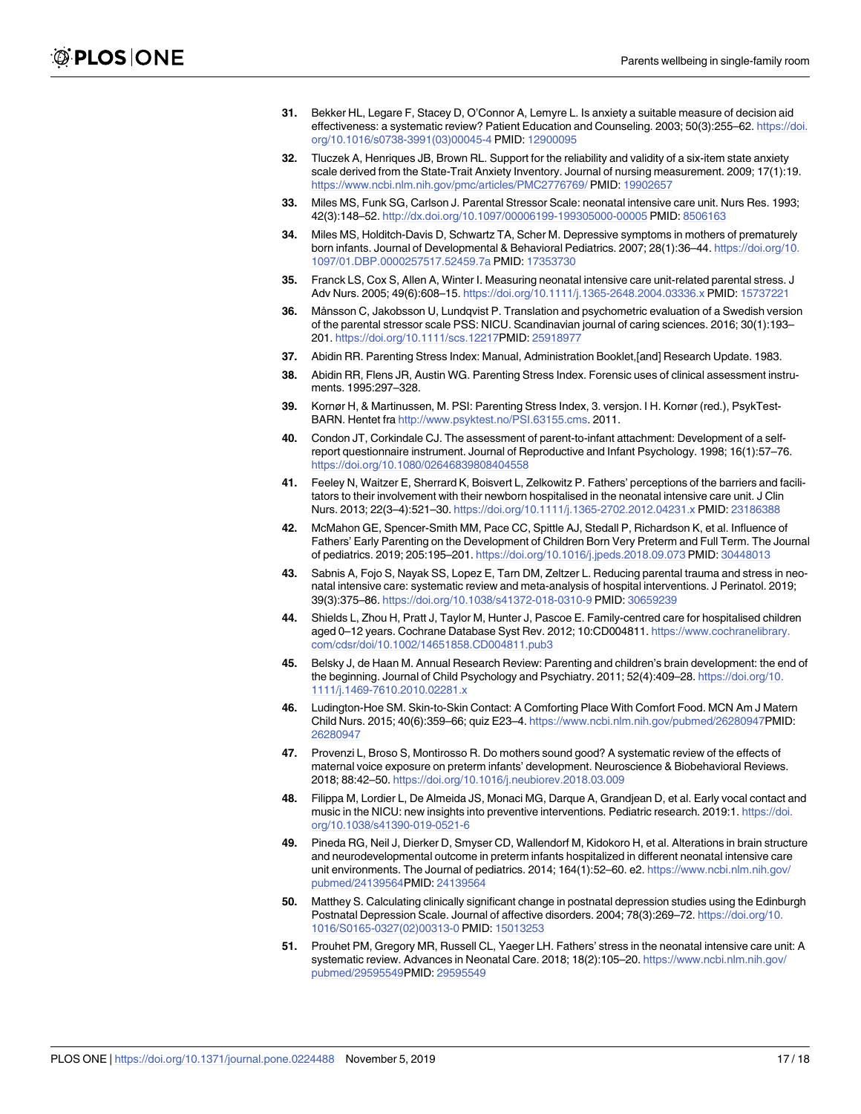- <span id="page-16-0"></span>**[31](#page-4-0).** Bekker HL, Legare F, Stacey D, O'Connor A, Lemyre L. Is anxiety a suitable measure of decision aid effectiveness: a systematic review? Patient Education and Counseling. 2003; 50(3):255–62. [https://doi.](https://doi.org/10.1016/s0738-3991(03)00045-4) [org/10.1016/s0738-3991\(03\)00045-4](https://doi.org/10.1016/s0738-3991(03)00045-4) PMID: [12900095](http://www.ncbi.nlm.nih.gov/pubmed/12900095)
- **[32](#page-4-0).** Tluczek A, Henriques JB, Brown RL. Support for the reliability and validity of a six-item state anxiety scale derived from the State-Trait Anxiety Inventory. Journal of nursing measurement. 2009; 17(1):19. <https://www.ncbi.nlm.nih.gov/pmc/articles/PMC2776769/> PMID: [19902657](http://www.ncbi.nlm.nih.gov/pubmed/19902657)
- **[33](#page-4-0).** Miles MS, Funk SG, Carlson J. Parental Stressor Scale: neonatal intensive care unit. Nurs Res. 1993; 42(3):148–52. <http://dx.doi.org/10.1097/00006199-199305000-00005> PMID: [8506163](http://www.ncbi.nlm.nih.gov/pubmed/8506163)
- **[34](#page-4-0).** Miles MS, Holditch-Davis D, Schwartz TA, Scher M. Depressive symptoms in mothers of prematurely born infants. Journal of Developmental & Behavioral Pediatrics. 2007; 28(1):36–44. [https://doi.org/10.](https://doi.org/10.1097/01.DBP.0000257517.52459.7a) [1097/01.DBP.0000257517.52459.7a](https://doi.org/10.1097/01.DBP.0000257517.52459.7a) PMID: [17353730](http://www.ncbi.nlm.nih.gov/pubmed/17353730)
- **[35](#page-5-0).** Franck LS, Cox S, Allen A, Winter I. Measuring neonatal intensive care unit-related parental stress. J Adv Nurs. 2005; 49(6):608–15. <https://doi.org/10.1111/j.1365-2648.2004.03336.x> PMID: [15737221](http://www.ncbi.nlm.nih.gov/pubmed/15737221)
- **[36](#page-5-0).** Månsson C, Jakobsson U, Lundqvist P. Translation and psychometric evaluation of a Swedish version of the parental stressor scale PSS: NICU. Scandinavian journal of caring sciences. 2016; 30(1):193– 201. [https://doi.org/10.1111/scs.12217P](https://doi.org/10.1111/scs.12217)MID: [25918977](http://www.ncbi.nlm.nih.gov/pubmed/25918977)
- **[37](#page-5-0).** Abidin RR. Parenting Stress Index: Manual, Administration Booklet,[and] Research Update. 1983.
- **[38](#page-5-0).** Abidin RR, Flens JR, Austin WG. Parenting Stress Index. Forensic uses of clinical assessment instruments. 1995:297–328.
- **[39](#page-5-0).** Kornør H, & Martinussen, M. PSI: Parenting Stress Index, 3. versjon. I H. Kornør (red.), PsykTest-BARN. Hentet fra [http://www.psyktest.no/PSI.63155.cms.](http://www.psyktest.no/PSI.63155.cms) 2011.
- **[40](#page-5-0).** Condon JT, Corkindale CJ. The assessment of parent-to-infant attachment: Development of a selfreport questionnaire instrument. Journal of Reproductive and Infant Psychology. 1998; 16(1):57–76. <https://doi.org/10.1080/02646839808404558>
- **[41](#page-10-0).** Feeley N, Waitzer E, Sherrard K, Boisvert L, Zelkowitz P. Fathers' perceptions of the barriers and facilitators to their involvement with their newborn hospitalised in the neonatal intensive care unit. J Clin Nurs. 2013; 22(3–4):521–30. <https://doi.org/10.1111/j.1365-2702.2012.04231.x> PMID: [23186388](http://www.ncbi.nlm.nih.gov/pubmed/23186388)
- **[42](#page-10-0).** McMahon GE, Spencer-Smith MM, Pace CC, Spittle AJ, Stedall P, Richardson K, et al. Influence of Fathers' Early Parenting on the Development of Children Born Very Preterm and Full Term. The Journal of pediatrics. 2019; 205:195–201. <https://doi.org/10.1016/j.jpeds.2018.09.073> PMID: [30448013](http://www.ncbi.nlm.nih.gov/pubmed/30448013)
- **[43](#page-10-0).** Sabnis A, Fojo S, Nayak SS, Lopez E, Tarn DM, Zeltzer L. Reducing parental trauma and stress in neonatal intensive care: systematic review and meta-analysis of hospital interventions. J Perinatol. 2019; 39(3):375–86. <https://doi.org/10.1038/s41372-018-0310-9> PMID: [30659239](http://www.ncbi.nlm.nih.gov/pubmed/30659239)
- **[44](#page-11-0).** Shields L, Zhou H, Pratt J, Taylor M, Hunter J, Pascoe E. Family-centred care for hospitalised children aged 0–12 years. Cochrane Database Syst Rev. 2012; 10:CD004811. [https://www.cochranelibrary.](https://www.cochranelibrary.com/cdsr/doi/10.1002/14651858.CD004811.pub3) [com/cdsr/doi/10.1002/14651858.CD004811.pub3](https://www.cochranelibrary.com/cdsr/doi/10.1002/14651858.CD004811.pub3)
- **[45](#page-11-0).** Belsky J, de Haan M. Annual Research Review: Parenting and children's brain development: the end of the beginning. Journal of Child Psychology and Psychiatry. 2011; 52(4):409–28. [https://doi.org/10.](https://doi.org/10.1111/j.1469-7610.2010.02281.x) [1111/j.1469-7610.2010.02281.x](https://doi.org/10.1111/j.1469-7610.2010.02281.x)
- **[46](#page-11-0).** Ludington-Hoe SM. Skin-to-Skin Contact: A Comforting Place With Comfort Food. MCN Am J Matern Child Nurs. 2015; 40(6):359–66; quiz E23–4. <https://www.ncbi.nlm.nih.gov/pubmed/26280947>PMID: [26280947](http://www.ncbi.nlm.nih.gov/pubmed/26280947)
- **[47](#page-11-0).** Provenzi L, Broso S, Montirosso R. Do mothers sound good? A systematic review of the effects of maternal voice exposure on preterm infants' development. Neuroscience & Biobehavioral Reviews. 2018; 88:42–50. <https://doi.org/10.1016/j.neubiorev.2018.03.009>
- **[48](#page-11-0).** Filippa M, Lordier L, De Almeida JS, Monaci MG, Darque A, Grandjean D, et al. Early vocal contact and music in the NICU: new insights into preventive interventions. Pediatric research. 2019:1. [https://doi.](https://doi.org/10.1038/s41390-019-0521-6) [org/10.1038/s41390-019-0521-6](https://doi.org/10.1038/s41390-019-0521-6)
- **[49](#page-11-0).** Pineda RG, Neil J, Dierker D, Smyser CD, Wallendorf M, Kidokoro H, et al. Alterations in brain structure and neurodevelopmental outcome in preterm infants hospitalized in different neonatal intensive care unit environments. The Journal of pediatrics. 2014; 164(1):52–60. e2. [https://www.ncbi.nlm.nih.gov/](https://www.ncbi.nlm.nih.gov/pubmed/24139564) [pubmed/24139564](https://www.ncbi.nlm.nih.gov/pubmed/24139564)PMID: [24139564](http://www.ncbi.nlm.nih.gov/pubmed/24139564)
- **[50](#page-11-0).** Matthey S. Calculating clinically significant change in postnatal depression studies using the Edinburgh Postnatal Depression Scale. Journal of affective disorders. 2004; 78(3):269–72. [https://doi.org/10.](https://doi.org/10.1016/S0165-0327(02)00313-0) [1016/S0165-0327\(02\)00313-0](https://doi.org/10.1016/S0165-0327(02)00313-0) PMID: [15013253](http://www.ncbi.nlm.nih.gov/pubmed/15013253)
- **[51](#page-11-0).** Prouhet PM, Gregory MR, Russell CL, Yaeger LH. Fathers' stress in the neonatal intensive care unit: A systematic review. Advances in Neonatal Care. 2018; 18(2):105–20. [https://www.ncbi.nlm.nih.gov/](https://www.ncbi.nlm.nih.gov/pubmed/29595549) [pubmed/29595549](https://www.ncbi.nlm.nih.gov/pubmed/29595549)PMID: [29595549](http://www.ncbi.nlm.nih.gov/pubmed/29595549)